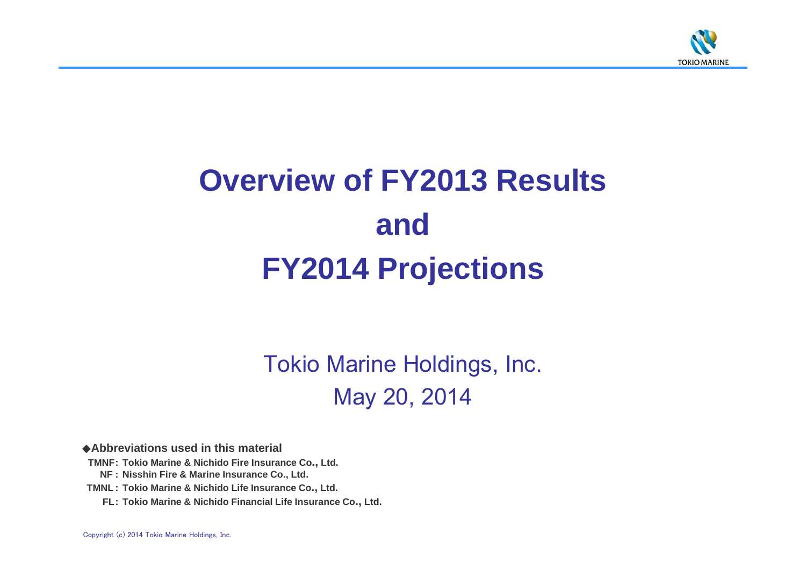

# **Overview of FY2013 Results andFY2014 Projections**

Tokio Marine Holdings, Inc. May 20, 2014

◆**Abbreviations used in this material**

**TMNF: Tokio Marine & Nichido Fire Insurance Co., Ltd.**

**NF : Nisshin Fire & Marine Insurance Co., Ltd.**

**TMNL : Tokio Marine & Nichido Life Insurance Co., Ltd.**

**FL: Tokio Marine & Nichido Financial Life Insurance Co., Ltd.**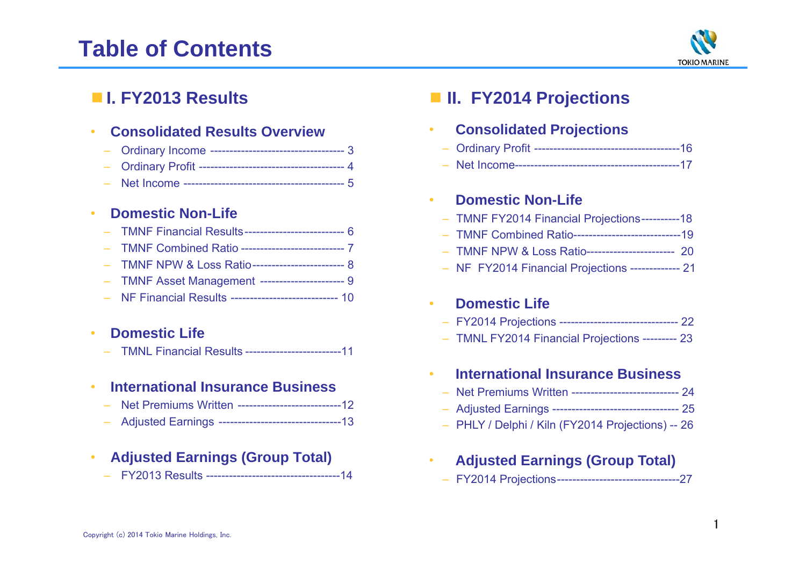# **Table of Contents**



## ■ **I. FY2013 Results**

### •**Consolidated Results Overview**

Net Income ------------------------------------------ 5

### •**Domestic Non-Life**

| - TMNF Financial Results---------------------------- 6   |
|----------------------------------------------------------|
|                                                          |
| - TMNF NPW & Loss Ratio------------------------------- 8 |
| - TMNF Asset Management ---------------------- 9         |
| - NF Financial Results ----------------------------- 10  |

### •**Domestic Life**

– TMNL Financial Results -------------------------11

### •**International Insurance Business**

- Net Premiums Written ---------------------------12
- Adjusted Earnings --------------------------------13

### •**Adjusted Earnings (Group Total)**

– FY2013 Results -----------------------------------14

## ■ **II. FY2014 Projections**

### •**Consolidated Projections**

- Ordinary Profit --------------------------------------16
- Net Income-------------------------------------------17

### •**Domestic Non-Life**

- TMNF FY2014 Financial Projections----------18
- TMNF Combined Ratio----------------------------19
- TMNF NPW & Loss Ratio----------------------- 20
- NF FY2014 Financial Projections ------------- 21

### •**Domestic Life**

- FY2014 Projections ------------------------------- 22
- TMNL FY2014 Financial Projections --------- 23

### •**International Insurance Business**

- Net Premiums Written ---------------------------- 24
- Adjusted Earnings --------------------------------- 25
- PHLY / Delphi / Kiln (FY2014 Projections) -- 26
- • **Adjusted Earnings (Group Total)** – FY2014 Projections--------------------------------27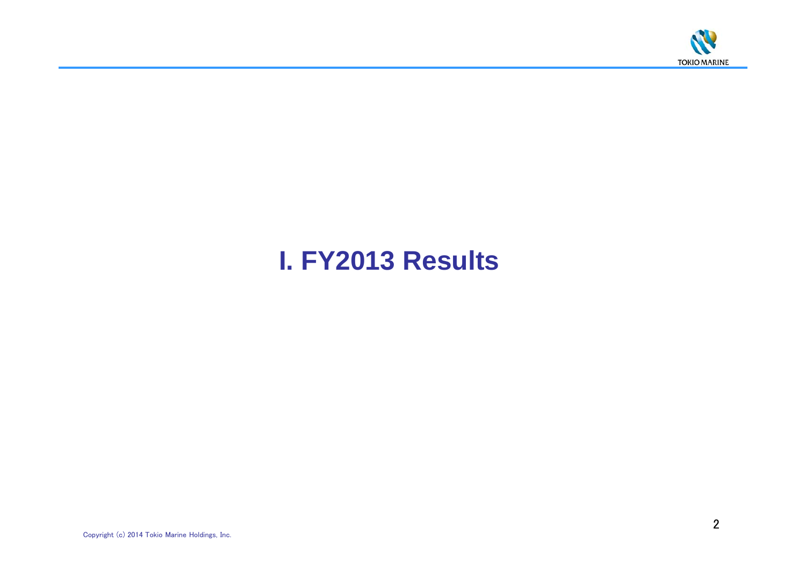

# **I. FY2013 Results**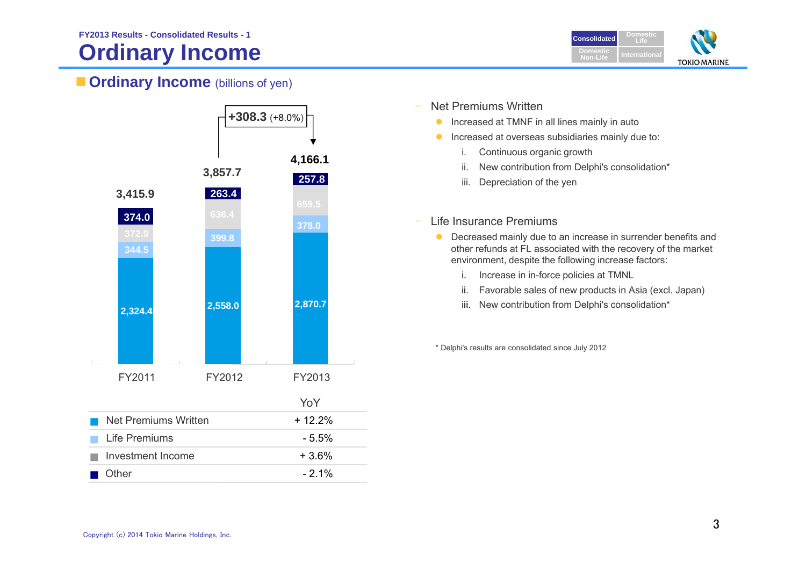## **Ordinary Income**



## **Ordinary Income** (billions of yen)



- Net Premiums Written
	- $\bullet$ Increased at TMNF in all lines mainly in auto
	- **Increased at overseas subsidiaries mainly due to:** 
		- i. Continuous organic growth
		- ii. New contribution from Delphi's consolidation\*
		- iii. Depreciation of the yen
- – Life Insurance Premiums
	- **O** Decreased mainly due to an increase in surrender benefits and other refunds at FL associated with the recovery of the market environment, despite the following increase factors:
		- i. Increase in in-force policies at TMNL
		- ii. Favorable sales of new products in Asia (excl. Japan)
		- iii. New contribution from Delphi's consolidation\*

\* Delphi's results are consolidated since July 2012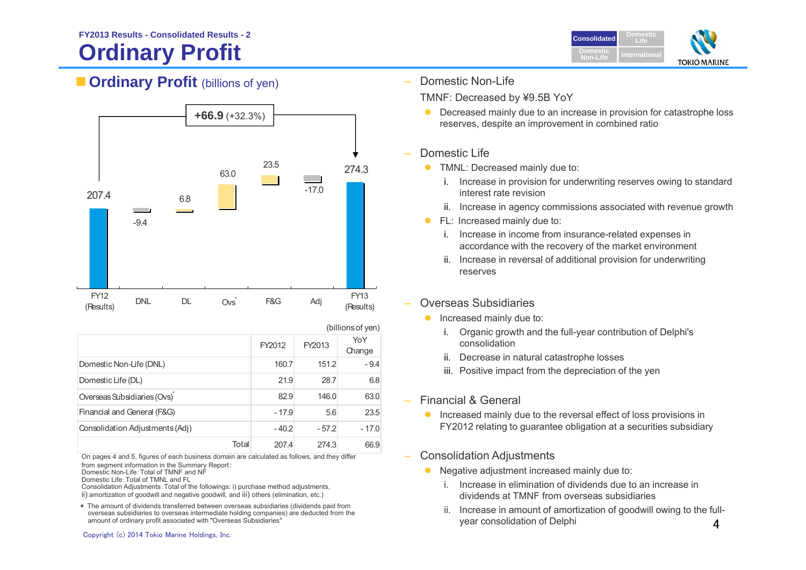# **Ordinary Profit**





|                                 |       |         |         | (billions of yen) |
|---------------------------------|-------|---------|---------|-------------------|
|                                 |       | FY2012  | FY2013  | YoY<br>Change     |
| Domestic Non-Life (DNL)         |       | 160.7   | 151.2   | $-9.4$            |
| Domestic Life (DL)              |       | 21.9    | 28.7    | 6.8               |
| Overseas Subsidiaries (Ovs)     |       | 82.9    | 146.0   | 63.0              |
| Financial and General (F&G)     |       | $-17.9$ | 5.6     | 23.5              |
| Consolidation Adjustments (Adj) |       | $-40.2$ | $-57.2$ | $-17.0$           |
|                                 | Total | 207.4   | 274.3   | 66.9              |

On pages 4 and 5, figures of each business domain are calculated as follows, and they differ from segment information in the Summary Report:

- Domestic Non-Life:Total of TMNF and NF
- Domestic Life:Total of TMNL and FL

 Consolidation Adjustments:Total of the followings: i) purchase method adjustments, ii) amortization of goodwill and negative goodwill, and iii) others (elimination, etc.)

\* The amount of dividends transferred between overseas subsidiaries (dividends paid from overseas subsidiaries to overseas intermediate holding companies) are deducted from the amount of ordinary profit associated with "Overseas Subsidiaries"



Domestic Non-Life

TMNF: Decreased by ¥9.5B YoY

 $\bullet$  Decreased mainly due to an increase in provision for catastrophe loss reserves, despite an improvement in combined ratio

### Domestic Life

- **TMNL: Decreased mainly due to:** 
	- i. Increase in provision for underwriting reserves owing to standard interest rate revision
	- ii. Increase in agency commissions associated with revenue growth
- $\bullet$  FL: Increased mainly due to:
	- i. Increase in income from insurance-related expenses in accordance with the recovery of the market environment
	- ii. Increase in reversal of additional provision for underwriting reserves

### Overseas Subsidiaries

- $\bullet$  Increased mainly due to:
	- i. Organic growth and the full-year contribution of Delphi's consolidation
	- ii. Decrease in natural catastrophe losses
	- iii. Positive impact from the depreciation of the yen
- Financial & General
	- **Increased mainly due to the reversal effect of loss provisions in** FY2012 relating to guarantee obligation at a securities subsidiary
- Consolidation Adjustments
	- $\bullet$  Negative adjustment increased mainly due to:
		- i. Increase in elimination of dividends due to an increase in dividends at TMNF from overseas subsidiaries
		- 4ii. Increase in amount of amortization of goodwill owing to the fullyear consolidation of Delphi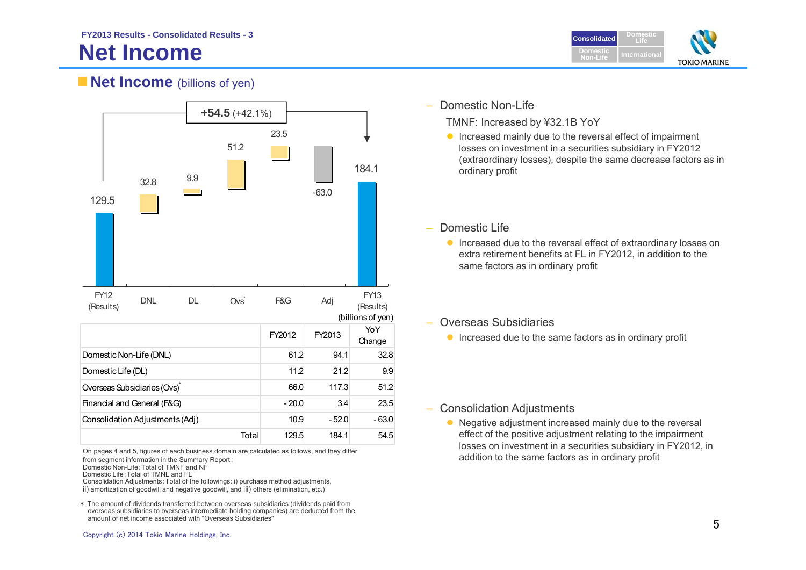# **Net Income**



## **Net Income** (billions of yen)



On pages 4 and 5, figures of each business domain are calculated as follows, and they differ from segment information in the Summary Report:

Domestic Non-Life:Total of TMNF and NF

Domestic Life:Total of TMNL and FL

Consolidation Adjustments:Total of the followings: i) purchase method adjustments, ii) amortization of goodwill and negative goodwill, and iii) others (elimination, etc.)

\* The amount of dividends transferred between overseas subsidiaries (dividends paid from overseas subsidiaries to overseas intermediate holding companies) are deducted from the amount of net income associated with "Overseas Subsidiaries"

TMNF: Increased by ¥32.1B YoY

**Increased mainly due to the reversal effect of impairment** losses on investment in a securities subsidiary in FY2012 (extraordinary losses), despite the same decrease factors as in ordinary profit

### Domestic Life

**Increased due to the reversal effect of extraordinary losses on** extra retirement benefits at FL in FY2012, in addition to the same factors as in ordinary profit

### $\mathcal{L}_{\mathcal{A}}$ Overseas Subsidiaries

**Increased due to the same factors as in ordinary profit** 

### –Consolidation Adjustments

• Negative adjustment increased mainly due to the reversal effect of the positive adjustment relating to the impairment losses on investment in a securities subsidiary in FY2012, in addition to the same factors as in ordinary profit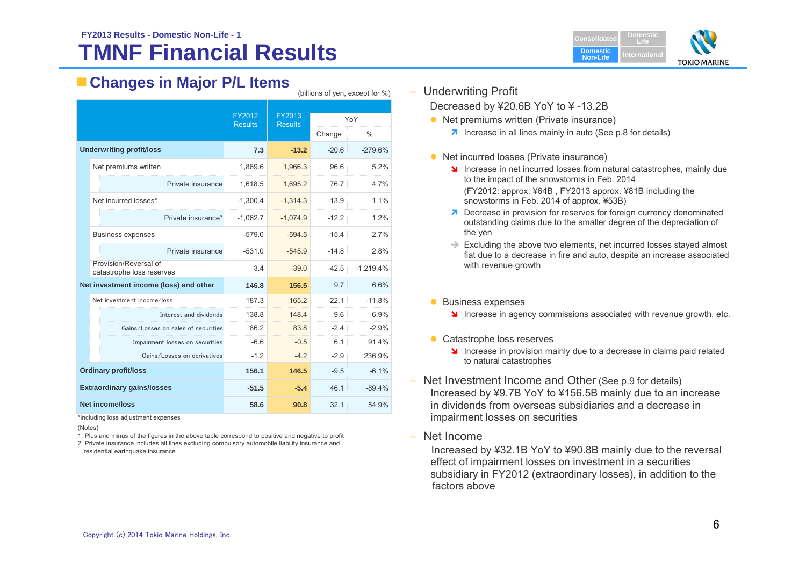### **TMNF Financial ResultsFY2013 Results - Domestic Non-Life - 1Consolidated Consolidated**



## **Changes in Major P/L Items**

|                                   |                                                    | FY2012         | FY2013         | YoY     |               |  |
|-----------------------------------|----------------------------------------------------|----------------|----------------|---------|---------------|--|
|                                   |                                                    | <b>Results</b> | <b>Results</b> |         |               |  |
|                                   |                                                    |                |                | Change  | $\frac{0}{0}$ |  |
| <b>Underwriting profit/loss</b>   |                                                    | 7.3            | $-13.2$        | $-20.6$ | $-279.6%$     |  |
|                                   | Net premiums written                               | 1,869.6        | 1,966.3        | 96.6    | 5.2%          |  |
|                                   | Private insurance                                  | 1,618.5        | 1,695.2        | 76.7    | 4.7%          |  |
|                                   | Net incurred losses*                               | $-1,300.4$     | $-1,314.3$     | $-13.9$ | 1.1%          |  |
|                                   | Private insurance*                                 | $-1,062.7$     | $-1.074.9$     | $-12.2$ | 1.2%          |  |
|                                   | <b>Business expenses</b>                           | $-579.0$       | $-594.5$       | $-15.4$ | 2.7%          |  |
|                                   | Private insurance                                  | $-531.0$       | $-545.9$       | $-14.8$ | 2.8%          |  |
|                                   | Provision/Reversal of<br>catastrophe loss reserves | 3.4            | $-39.0$        | $-42.5$ | $-1,219.4%$   |  |
|                                   | Net investment income (loss) and other             | 146.8          | 156.5          | 9.7     | 6.6%          |  |
|                                   | Net investment income/loss                         | 187.3          | 165.2          | $-22.1$ | $-11.8%$      |  |
|                                   | Interest and dividends                             | 138.8          | 148.4          | 9.6     | 6.9%          |  |
|                                   | Gains/Losses on sales of securities                | 86.2           | 83.8           | $-2.4$  | $-2.9%$       |  |
|                                   | Impairment losses on securities                    | $-6.6$         | $-0.5$         | 6.1     | 91.4%         |  |
|                                   | Gains/Losses on derivatives                        | $-1.2$         | $-4.2$         | $-2.9$  | 236.9%        |  |
| <b>Ordinary profit/loss</b>       |                                                    | 156.1          | 146.5          | $-9.5$  | $-6.1%$       |  |
| <b>Extraordinary gains/losses</b> |                                                    | $-51.5$        | $-5.4$         | 46.1    | $-89.4%$      |  |
| <b>Net income/loss</b>            |                                                    | 58.6           | 90.8           | 32.1    | 54.9%         |  |

\*Including loss adjustment expenses

(Notes)

1. Plus and minus of the figures in the above table correspond to positive and negative to profit

2. Private insurance includes all lines excluding compulsory automobile liability insurance and residential earthquake insurance

– Underwriting Profit

(billions of yen, except for %)

Decreased by ¥20.6B YoY to ¥ -13.2B

- Net premiums written (Private insurance)
	- **1** Increase in all lines mainly in auto (See p.8 for details)
- Net incurred losses (Private insurance)
	- Increase in net incurred losses from natural catastrophes, mainly due to the impact of the snowstorms in Feb. 2014 (FY2012: approx. ¥64B , FY2013 approx. ¥81B including the snowstorms in Feb. 2014 of approx. ¥53B)
	- **7** Decrease in provision for reserves for foreign currency denominated outstanding claims due to the smaller degree of the depreciation of the yen
	- $\rightarrow$  Excluding the above two elements, net incurred losses stayed almost flat due to a decrease in fire and auto, despite an increase associated with revenue growth
- **Business expenses** 
	- **If** Increase in agency commissions associated with revenue growth, etc.
- Catastrophe loss reserves
	- Increase in provision mainly due to a decrease in claims paid related to natural catastrophes
- Net Investment Income and Other (See p.9 for details) Increased by ¥9.7B YoY to ¥156.5B mainly due to an increase in dividends from overseas subsidiaries and a decrease in impairment losses on securities
- Net Income

Increased by ¥32.1B YoY to ¥90.8B mainly due to the reversal effect of impairment losses on investment in a securities subsidiary in FY2012 (extraordinary losses), in addition to the factors above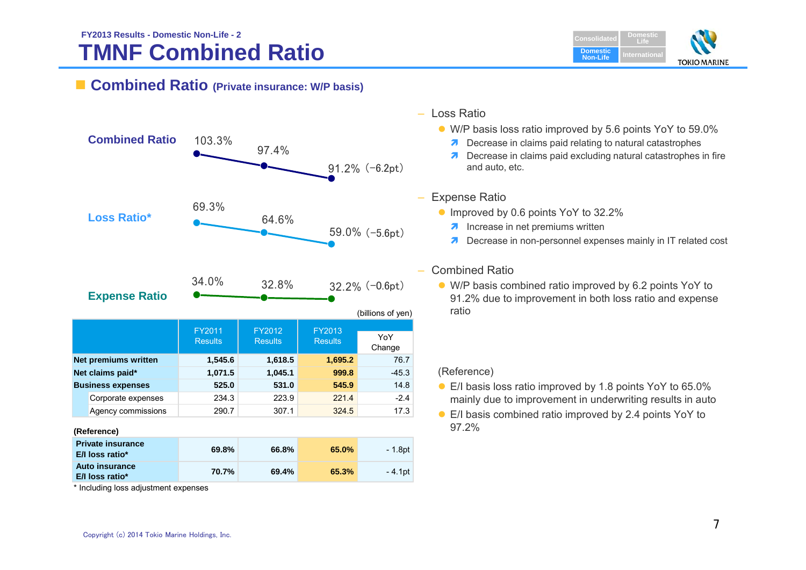### **TMNF Combined Ratio FY2013 Results - Domestic Non-Life - 2Consolidated Consolidated**



### **Combined Ratio (Private insurance: W/P basis)**



\* Including loss adjustment expenses

### – Loss Ratio

- W/P basis loss ratio improved by 5.6 points YoY to 59.0%
	- **7** Decrease in claims paid relating to natural catastrophes
	- **7** Decrease in claims paid excluding natural catastrophes in fire and auto, etc.

### Expense Ratio

- Improved by 0.6 points YoY to 32.2%
	- **A** Increase in net premiums written
	- **7** Decrease in non-personnel expenses mainly in IT related cost

### Combined Ratio

 W/P basis combined ratio improved by 6.2 points YoY to 91.2% due to improvement in both loss ratio and expense ratio

### (Reference)

- E/I basis loss ratio improved by 1.8 points YoY to 65.0% mainly due to improvement in underwriting results in auto
- E/I basis combined ratio improved by 2.4 points YoY to 97.2%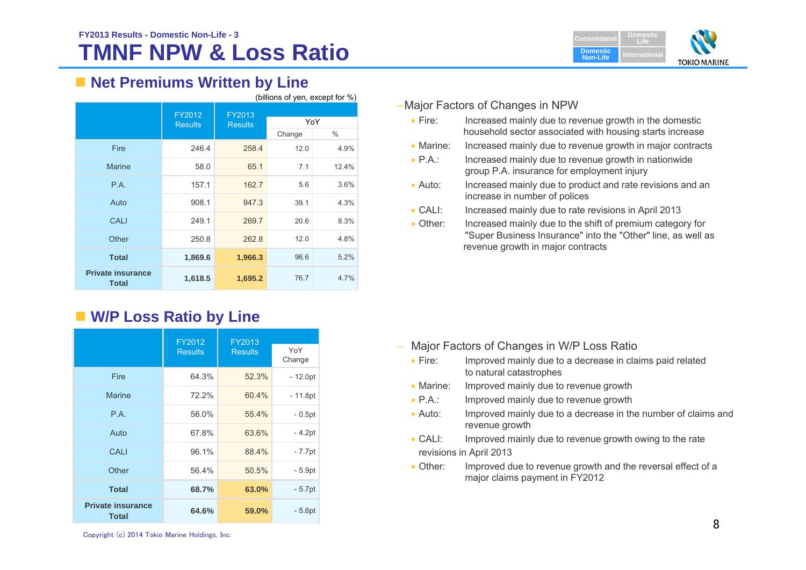# **TMNF NPW & Loss Ratio**



## ■ Net Premiums Written by Line

| (billions of yen, except for %)          |                          |                          |        |       |
|------------------------------------------|--------------------------|--------------------------|--------|-------|
|                                          | FY2012<br><b>Results</b> | FY2013<br><b>Results</b> | YoY    |       |
|                                          |                          |                          | Change | ℅     |
| Fire                                     | 246.4                    | 258.4                    | 12.0   | 4.9%  |
| <b>Marine</b>                            | 58.0                     | 65.1                     | 7.1    | 12.4% |
| P.A.                                     | 157.1                    | 162.7                    | 5.6    | 3.6%  |
| Auto                                     | 908.1                    | 947.3                    | 39.1   | 4.3%  |
| CALI                                     | 249.1                    | 269.7                    | 20.6   | 8.3%  |
| Other                                    | 250.8                    | 262.8                    | 12.0   | 4.8%  |
| <b>Total</b>                             | 1,869.6                  | 1,966.3                  | 96.6   | 5.2%  |
| <b>Private insurance</b><br><b>Total</b> | 1,618.5                  | 1,695.2                  | 76.7   | 4.7%  |

## **W/P Loss Ratio by Line**

|                                          | FY2012         | FY2013         |               |
|------------------------------------------|----------------|----------------|---------------|
|                                          | <b>Results</b> | <b>Results</b> | YoY<br>Change |
| Fire                                     | 64.3%          | 52.3%          | $-12.0pt$     |
| <b>Marine</b>                            | 72.2%          | 60.4%          | $-11.8pt$     |
| P.A.                                     | 56.0%          | 55.4%          | $-0.5pt$      |
| Auto                                     | 67.8%          | 63.6%          | - 4.2pt       |
| CALI                                     | 96.1%          | 88.4%          | $-7.7$ pt     |
| Other                                    | 56.4%          | 50.5%          | - 5.9pt       |
| <b>Total</b>                             | 68.7%          | 63.0%          | $-5.7pt$      |
| <b>Private insurance</b><br><b>Total</b> | 64.6%          | 59.0%          | $-5.6pt$      |

### –Major Factors of Changes in NPW

- $\bullet$  Fire: Increased mainly due to revenue growth in the domestic household sector associated with housing starts increase
- Marine: Increased mainly due to revenue growth in major contracts
- $\bullet$  PA $\cdot$ Increased mainly due to revenue growth in nationwide group P.A. insurance for employment injury
- $\bullet$  Auto: Increased mainly due to product and rate revisions and an increase in number of polices
- $\bullet$  CALI: Increased mainly due to rate revisions in April 2013
- $\bullet$  Other: Increased mainly due to the shift of premium category for "Super Business Insurance" into the "Other" line, as well as revenue growth in major contracts

- Major Factors of Changes in W/P Loss Ratio
	- $\bullet$  Fire: Improved mainly due to a decrease in claims paid related to natural catastrophes
	- $\bullet$  Marine: Improved mainly due to revenue growth
	- $\bullet$  P.A.: Improved mainly due to revenue growth
	- $\bullet$  Auto: Improved mainly due to a decrease in the number of claims and revenue growth
	- $\bullet$  CALI: Improved mainly due to revenue growth owing to the rate revisions in April 2013
	- Other: Improved due to revenue growth and the reversal effect of a major claims payment in FY2012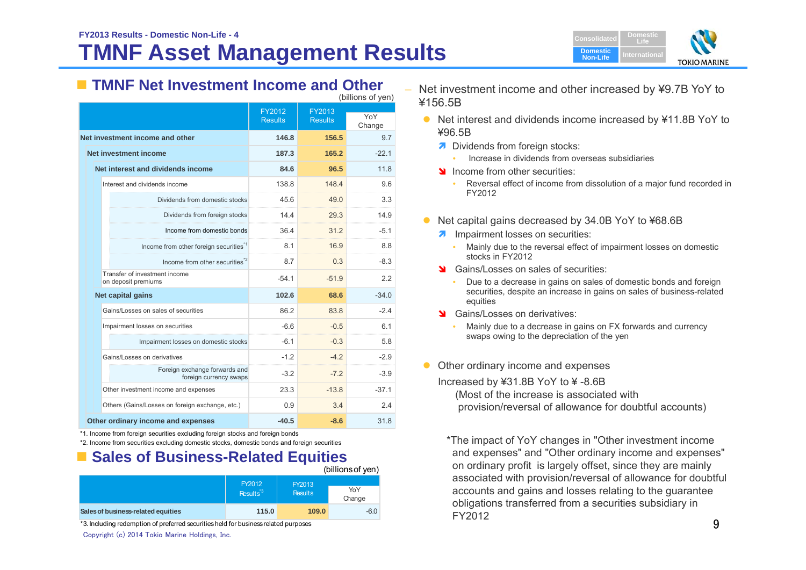# **TMNF Asset Management Results**



## **TMNF Net Investment Income and Other**

| (billions of yen)                                       |                          |                          |               |  |
|---------------------------------------------------------|--------------------------|--------------------------|---------------|--|
|                                                         | FY2012<br><b>Results</b> | FY2013<br><b>Results</b> | YoY<br>Change |  |
| Net investment income and other                         | 146.8                    | 156.5                    | 9.7           |  |
| <b>Net investment income</b>                            | 187.3                    | 165.2                    | $-221$        |  |
| Net interest and dividends income                       | 84.6                     | 96.5                     | 11.8          |  |
| Interest and dividends income                           | 138.8                    | 148.4                    | 9.6           |  |
| Dividends from domestic stocks                          | 45.6                     | 49.0                     | 3.3           |  |
| Dividends from foreign stocks                           | 14.4                     | 29.3                     | 14.9          |  |
| Income from domestic bonds                              | 36.4                     | 31.2                     | $-5.1$        |  |
| Income from other foreign securities <sup>"1</sup>      | 8.1                      | 16.9                     | 8.8           |  |
| Income from other securities <sup>*2</sup>              | 8.7                      | 0.3                      | $-8.3$        |  |
| Transfer of investment income<br>on deposit premiums    | $-54.1$                  | $-51.9$                  | 2.2           |  |
| Net capital gains                                       | 102.6                    | 68.6                     | $-34.0$       |  |
| Gains/Losses on sales of securities                     | 86.2                     | 83.8                     | $-2.4$        |  |
| Impairment losses on securities                         | $-6.6$                   | $-0.5$                   | 6.1           |  |
| Impairment losses on domestic stocks                    | $-61$                    | $-0.3$                   | 5.8           |  |
| Gains/Losses on derivatives                             | $-1.2$                   | $-4.2$                   | $-2.9$        |  |
| Foreign exchange forwards and<br>foreign currency swaps | $-3.2$                   | $-7.2$                   | $-3.9$        |  |
| Other investment income and expenses                    | 23.3                     | $-13.8$                  | $-37.1$       |  |
| Others (Gains/Losses on foreign exchange, etc.)         | 0.9                      | 3.4                      | 2.4           |  |
| Other ordinary income and expenses                      | $-40.5$                  | $-8.6$                   | 31.8          |  |

\*1. Income from foreign securities excluding foreign stocks and foreign bonds

\*2. Income from securities excluding domestic stocks, domestic bonds and foreign securities

## **Example Sales of Business-Related Equities**

|                                    |                                |                          | (billions of yen) |
|------------------------------------|--------------------------------|--------------------------|-------------------|
|                                    | FY2012<br>Results <sup>3</sup> | FY2013<br><b>Results</b> | YoY<br>Change     |
| Sales of business-related equities | 115.0                          | 109.0                    | $-6.0$            |

\*3. Including redemption of preferred securities held for business related purposes

Copyright (c) 2014 Tokio Marine Holdings, Inc.

 Net investment income and other increased by ¥9.7B YoY to ¥156.5B

- $\bullet$  Net interest and dividends income increased by ¥11.8B YoY to ¥96.5B
	- **7** Dividends from foreign stocks:
		- Increase in dividends from overseas subsidiaries
	- Income from other securities:
		- Reversal effect of income from dissolution of a major fund recorded in FY2012
- $\bullet$  Net capital gains decreased by 34.0B YoY to ¥68.6B
	- **A** Impairment losses on securities:
		- Mainly due to the reversal effect of impairment losses on domestic stocks in FY2012
	- **S** Gains/Losses on sales of securities:
		- Due to a decrease in gains on sales of domestic bonds and foreign securities, despite an increase in gains on sales of business-related equities
	- Stains/Losses on derivatives:
		- Mainly due to a decrease in gains on FX forwards and currency swaps owing to the depreciation of the yen
- Other ordinary income and expenses

Increased by ¥31.8B YoY to ¥ -8.6B (Most of the increase is associated with

provision/reversal of allowance for doubtful accounts)

\*The impact of YoY changes in "Other investment income and expenses" and "Other ordinary income and expenses" on ordinary profit is largely offset, since they are mainly associated with provision/reversal of allowance for doubtful accounts and gains and losses relating to the guarantee obligations transferred from a securities subsidiary in FY2012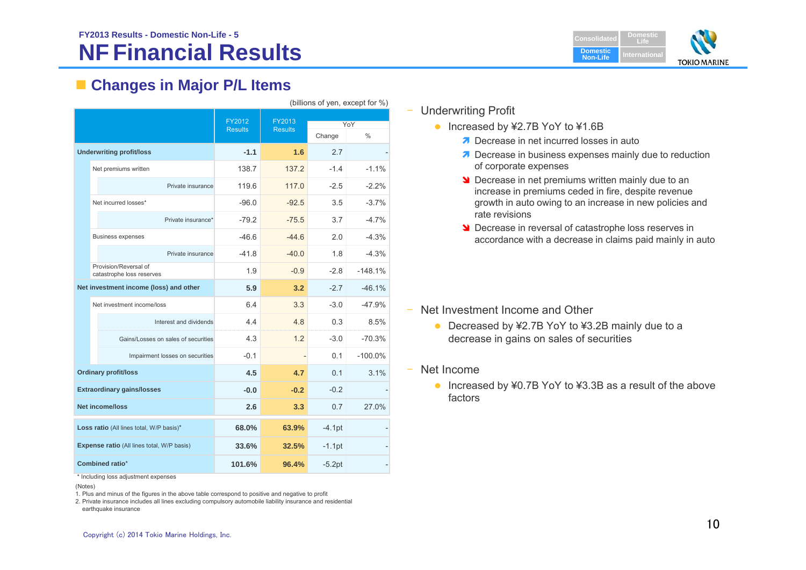# **NF Financial Results**



## **Changes in Major P/L Items**

| (billions of yen, except for %)          |                                                    |                          |                          |                |             |
|------------------------------------------|----------------------------------------------------|--------------------------|--------------------------|----------------|-------------|
|                                          |                                                    | FY2012<br><b>Results</b> | FY2013<br><b>Results</b> | Change         | YoY<br>$\%$ |
|                                          | <b>Underwriting profit/loss</b>                    | $-1.1$                   | 1.6                      | 2.7            |             |
|                                          | Net premiums written                               | 138.7                    | 137.2                    | $-1.4$         | $-1.1%$     |
|                                          | Private insurance                                  | 119.6                    | 117.0                    | $-2.5$         | $-2.2\%$    |
|                                          | Net incurred losses*                               | $-96.0$                  | $-92.5$                  | 3.5            | $-3.7%$     |
|                                          | Private insurance*                                 | $-79.2$                  | $-75.5$                  | 3.7            | $-4.7%$     |
|                                          | <b>Business expenses</b>                           | $-46.6$                  | $-44.6$                  | 2.0            | $-4.3%$     |
|                                          | Private insurance                                  | $-41.8$                  | $-40.0$                  | 1.8            | $-4.3%$     |
|                                          | Provision/Reversal of<br>catastrophe loss reserves | 1.9                      | $-0.9$                   | $-2.8$         | $-148.1%$   |
|                                          | Net investment income (loss) and other             | 5.9                      | 3.2                      | $-2.7$         | $-46.1%$    |
|                                          | Net investment income/loss                         | 6.4                      | 3.3                      | $-3.0$         | $-47.9%$    |
|                                          | Interest and dividends                             | 4.4                      | 4.8                      | 0.3            | 8.5%        |
|                                          | Gains/Losses on sales of securities                | 4.3                      | 1.2                      | $-3.0$         | $-70.3%$    |
|                                          | Impairment losses on securities                    | $-0.1$                   |                          | 0.1            | $-100.0%$   |
|                                          | <b>Ordinary profit/loss</b>                        | 4.5                      | 4.7                      | 0 <sub>1</sub> | 3.1%        |
|                                          | <b>Extraordinary gains/losses</b>                  | $-0.0$                   | $-0.2$                   | $-0.2$         |             |
|                                          | <b>Net income/loss</b>                             | 2.6                      | 3.3                      | 0.7            | 27.0%       |
| Loss ratio (All lines total, W/P basis)* |                                                    | 68.0%                    | 63.9%                    | $-4.1pt$       |             |
|                                          | Expense ratio (All lines total, W/P basis)         | 33.6%                    | 32.5%                    | $-1.1$ pt      |             |
| Combined ratio*                          |                                                    | 101.6%                   | 96.4%                    | $-5.2pt$       |             |

\* Including loss adjustment expenses

(Notes)

1. Plus and minus of the figures in the above table correspond to positive and negative to profit

2. Private insurance includes all lines excluding compulsory automobile liability insurance and residential earthquake insurance

### ‒ Underwriting Profit

- Increased by ¥2.7B YoY to ¥1.6B
	- Decrease in net incurred losses in auto
	- **Decrease in business expenses mainly due to reduction** of corporate expenses
	- **Decrease in net premiums written mainly due to an** increase in premiums ceded in fire, despite revenue growth in auto owing to an increase in new policies and rate revisions
	- **Decrease in reversal of catastrophe loss reserves in** accordance with a decrease in claims paid mainly in auto

- Net Investment Income and Other
	- Decreased by ¥2.7B YoY to ¥3.2B mainly due to a decrease in gains on sales of securities
- ‒ Net Income
	- Increased by ¥0.7B YoY to ¥3.3B as a result of the above factors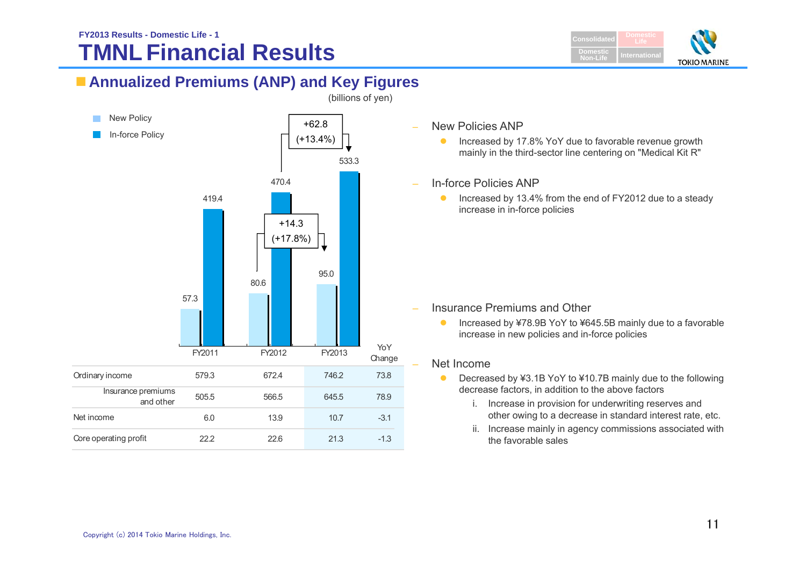# **TMNL Financial Results**



## **Annualized Premiums (ANP) and Key Figures**



- New Policies ANP
	- $\bullet$  Increased by 17.8% YoY due to favorable revenue growth mainly in the third-sector line centering on "Medical Kit R"
- In-force Policies ANP
	- $\bullet$  Increased by 13.4% from the end of FY2012 due to a steady increase in in-force policies

- Insurance Premiums and Other
	- $\bullet$  Increased by ¥78.9B YoY to ¥645.5B mainly due to a favorable increase in new policies and in-force policies

### Net Income

- $\bullet$  Decreased by ¥3.1B YoY to ¥10.7B mainly due to the following decrease factors, in addition to the above factors
	- i. Increase in provision for underwriting reserves and other owing to a decrease in standard interest rate, etc.
	- ii. Increase mainly in agency commissions associated with the favorable sales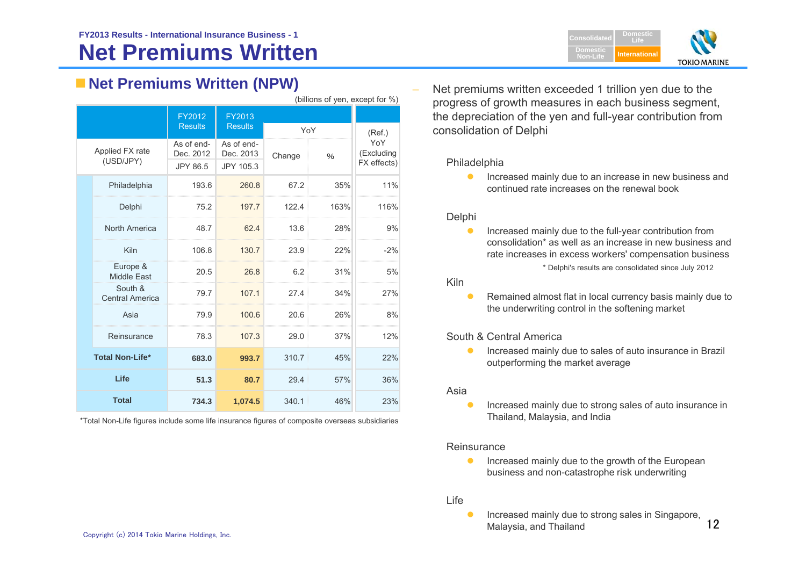## **Net Premiums Written (NPW)**

|              | (billions of yen, except for %)   |                                     |                                      |                         |      |                                  |
|--------------|-----------------------------------|-------------------------------------|--------------------------------------|-------------------------|------|----------------------------------|
|              |                                   | FY2012                              | FY2013                               |                         |      |                                  |
|              |                                   | <b>Results</b>                      | <b>Results</b>                       | YoY                     |      | (Ref.)                           |
|              | Applied FX rate<br>(USD/JPY)      | As of end-<br>Dec. 2012<br>JPY 86.5 | As of end-<br>Dec. 2013<br>JPY 105.3 | Change<br>$\frac{0}{0}$ |      | YoY<br>(Excluding<br>FX effects) |
|              | Philadelphia                      | 193.6                               | 260.8                                | 67.2                    | 35%  | 11%                              |
|              | Delphi                            | 75.2                                | 197.7                                | 122.4                   | 163% | 116%                             |
|              | North America                     | 48.7                                | 62.4                                 | 13.6                    | 28%  | 9%                               |
|              | Kiln                              | 106.8                               | 130.7                                | 23.9                    | 22%  | $-2%$                            |
|              | Europe &<br><b>Middle East</b>    | 20.5                                | 26.8                                 | 6.2                     | 31%  | 5%                               |
|              | South &<br><b>Central America</b> | 79.7                                | 107.1                                | 27.4                    | 34%  | 27%                              |
|              | Asia                              | 79.9                                | 100.6                                | 20.6                    | 26%  | 8%                               |
|              | Reinsurance                       | 78.3                                | 107.3                                | 29.0                    | 37%  | 12%                              |
|              | <b>Total Non-Life*</b>            | 310.7<br>683.0<br>993.7             |                                      | 45%                     | 22%  |                                  |
|              | Life                              | 51.3                                | 80.7                                 | 29.4                    | 57%  | 36%                              |
| <b>Total</b> |                                   | 734.3                               | 1,074.5                              | 340.1                   | 46%  | 23%                              |

\*Total Non-Life figures include some life insurance figures of composite overseas subsidiaries

 Net premiums written exceeded 1 trillion yen due to the progress of growth measures in each business segment, the depreciation of the yen and full-year contribution from consolidation of Delphi

### Philadelphia

**Increased mainly due to an increase in new business and** continued rate increases on the renewal book

### **Delphi**

 $\bullet$  Increased mainly due to the full-year contribution from consolidation\* as well as an increase in new business and rate increases in excess workers' compensation business \* Delphi's results are consolidated since July 2012

### Kiln

 $\bullet$  Remained almost flat in local currency basis mainly due to the underwriting control in the softening market

### South & Central America

 $\bullet$  Increased mainly due to sales of auto insurance in Brazil outperforming the market average

### Asia

 $\bullet$  Increased mainly due to strong sales of auto insurance in Thailand, Malaysia, and India

### **Reinsurance**

 $\bullet$  Increased mainly due to the growth of the European business and non-catastrophe risk underwriting

### Life

 $\bullet$  Increased mainly due to strong sales in Singapore, Malaysia, and Thailand

12

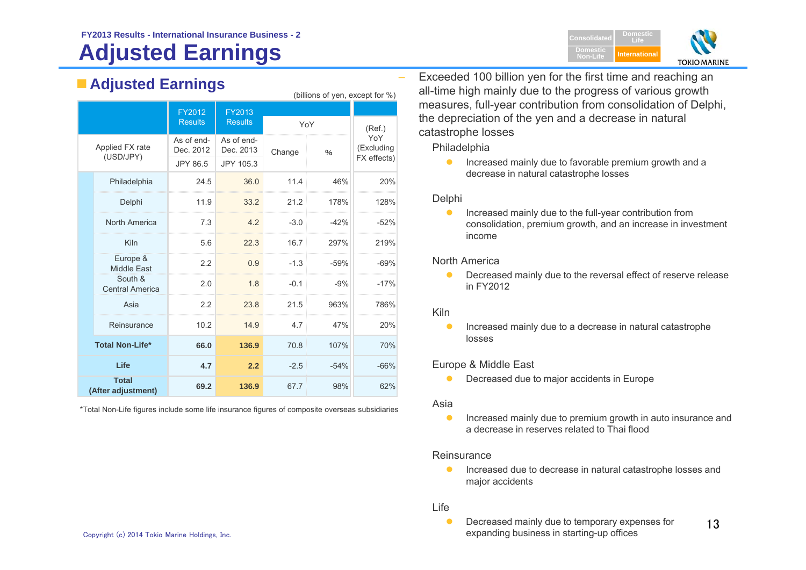# **Adjusted Earnings**

**Adjusted Earnings**

|  |                                    |                          |                          | (billions of yen, except for %) |        |                                  |
|--|------------------------------------|--------------------------|--------------------------|---------------------------------|--------|----------------------------------|
|  |                                    | FY2012<br><b>Results</b> | FY2013<br><b>Results</b> |                                 |        |                                  |
|  |                                    |                          |                          | YoY                             |        | (Ref.)                           |
|  | Applied FX rate<br>(USD/JPY)       | As of end-<br>Dec. 2012  | As of end-<br>Dec. 2013  | Change<br>$\frac{0}{0}$         |        | YoY<br>(Excluding<br>FX effects) |
|  |                                    | JPY 86.5                 | JPY 105.3                |                                 |        |                                  |
|  | Philadelphia                       | 24.5                     | 36.0                     | 11.4                            | 46%    | 20%                              |
|  | Delphi                             | 11.9                     | 33.2                     | 21.2                            | 178%   | 128%                             |
|  | North America                      | 7.3                      | 4.2                      | $-3.0$                          | $-42%$ | $-52%$                           |
|  | Kiln                               | 5.6                      | 22.3                     | 16.7                            | 297%   | 219%                             |
|  | Europe &<br><b>Middle East</b>     | 2.2                      | 0.9                      | $-1.3$                          | $-59%$ | $-69%$                           |
|  | South &<br><b>Central America</b>  | 2.0                      | 1.8                      | $-0.1$                          | $-9%$  | $-17%$                           |
|  | Asia                               | 2.2                      | 23.8                     | 21.5                            | 963%   | 786%                             |
|  | Reinsurance                        | 10.2                     | 14.9                     | 4.7                             | 47%    | 20%                              |
|  | <b>Total Non-Life*</b>             | 66.0                     | 136.9                    | 70.8                            | 107%   | 70%                              |
|  | Life                               | 4.7                      | 2.2                      | $-2.5$                          | $-54%$ | $-66%$                           |
|  | <b>Total</b><br>(After adjustment) | 69.2                     | 136.9                    | 67.7                            | 98%    | 62%                              |

\*Total Non-Life figures include some life insurance figures of composite overseas subsidiaries

 Exceeded 100 billion yen for the first time and reaching an all-time high mainly due to the progress of various growth measures, full-year contribution from consolidation of Delphi, the depreciation of the yen and a decrease in natural catastrophe losses

**Domestic Non-Life**

**DomesticLifeInternational**

**TOKIO MARINE** 

Philadelphia

 $\bullet$  Increased mainly due to favorable premium growth and a decrease in natural catastrophe losses

### Delphi

 $\bullet$  Increased mainly due to the full-year contribution from consolidation, premium growth, and an increase in investment income

### North America

 $\bullet$  Decreased mainly due to the reversal effect of reserve release in FY2012

### Kiln

 $\bullet$  Increased mainly due to a decrease in natural catastrophe losses

### Europe & Middle East

 $\bullet$ Decreased due to major accidents in Europe

### Asia

 $\bullet$  Increased mainly due to premium growth in auto insurance and a decrease in reserves related to Thai flood

### **Reinsurance**

 $\bullet$  Increased due to decrease in natural catastrophe losses and major accidents

### Life

13 $\bullet$  Decreased mainly due to temporary expenses for expanding business in starting-up offices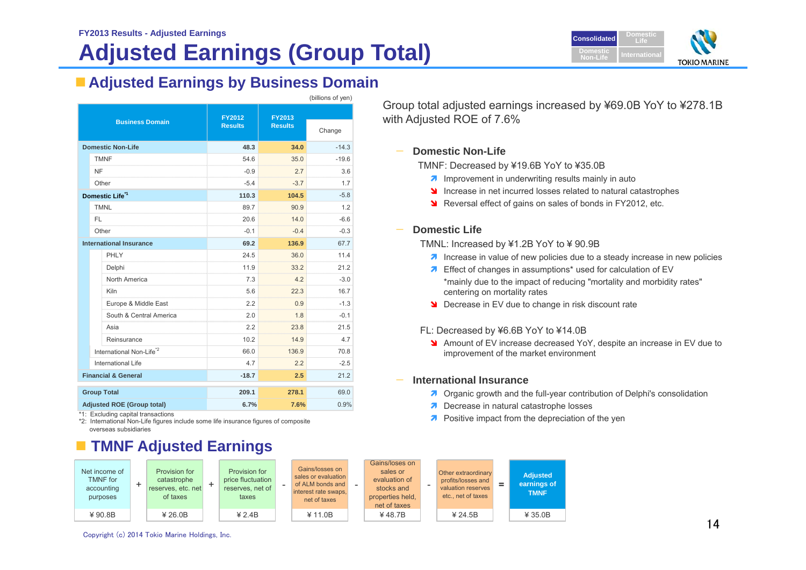# **Adjusted Earnings (Group Total)**



## **Adjusted Earnings by Business Domain**

|                                | (billions of yen)                    |                          |                          |         |  |
|--------------------------------|--------------------------------------|--------------------------|--------------------------|---------|--|
|                                | <b>Business Domain</b>               | FY2012<br><b>Results</b> | FY2013<br><b>Results</b> | Change  |  |
|                                | <b>Domestic Non-Life</b>             | 48.3                     | 34.0                     | $-14.3$ |  |
|                                | <b>TMNF</b>                          | 54.6                     | 35.0                     | $-19.6$ |  |
|                                | NF                                   | $-0.9$                   | 2.7                      | 3.6     |  |
|                                | Other                                | $-5.4$                   | $-3.7$                   | 1.7     |  |
|                                | Domestic Life <sup>*1</sup>          | 110.3                    | 104.5                    | $-5.8$  |  |
|                                | <b>TMNL</b>                          | 89.7                     | 90.9                     | 1.2     |  |
|                                | FL.                                  | 20.6                     | 14.0                     | $-6.6$  |  |
|                                | Other                                | $-0.1$                   | $-0.4$                   | $-0.3$  |  |
| <b>International Insurance</b> |                                      | 69.2                     | 136.9                    | 67.7    |  |
|                                | PHLY                                 | 24.5                     | 36.0                     | 11.4    |  |
|                                | Delphi                               | 11.9                     | 33.2                     | 21.2    |  |
|                                | North America                        | 7.3                      | 4.2<br>minin             | $-3.0$  |  |
|                                | Kiln                                 | 5.6                      | 22.3                     | 167     |  |
|                                | Europe & Middle East                 | 2.2                      | 0.9                      | $-1.3$  |  |
|                                | South & Central America              | 2.0                      | 1.8                      | $-0.1$  |  |
|                                | Asia                                 | 2.2                      | 23.8                     | 21.5    |  |
|                                | Reinsurance                          | 10.2                     | 14.9                     | 4.7     |  |
|                                | International Non-Life <sup>*2</sup> | 66.0                     | 136.9                    | 70.8    |  |
|                                | <b>International Life</b>            | 47                       | 2.2                      | $-2.5$  |  |
|                                | <b>Financial &amp; General</b>       | $-18.7$                  | 2.5                      | 21.2    |  |
|                                | <b>Group Total</b>                   | 209.1                    | 278.1                    | 69.0    |  |
|                                | <b>Adjusted ROE (Group total)</b>    | 6.7%                     | 7.6%                     | 0.9%    |  |

\*1: Excluding capital transactions

\*2: International Non-Life figures include some life insurance figures of composite overseas subsidiaries

## **TMNF Adjusted Earnings**

Net income of TMNF foraccounting purposes +Provision for catastrophe reserves, etc. net of taxes +Provision for price fluctuation reserves, net of taxes Gains/losses on sales or evaluationof ALM bonds andnterest rate swaps net of taxes Gains/loses on sales or evaluation ofstocks andproperties held, net of taxes Other extraordinary profits/losses and valuation reserves etc., net of taxes =**Adjusted earnings of TMNF** ¥ 90.8B¥ 26.0B ¥ 2.4B ¥ 11.0B ¥ 48.7B ¥ 24.5B ¥ 35.0B

Group total adjusted earnings increased by ¥69.0B YoY to ¥278.1B with Adjusted ROE of 7.6%

### **Domestic Non-Life**

TMNF: Decreased by ¥19.6B YoY to ¥35.0B

- $\lambda$  Improvement in underwriting results mainly in auto
- Increase in net incurred losses related to natural catastrophes
- **N** Reversal effect of gains on sales of bonds in FY2012, etc.

### **Domestic Life**

TMNL: Increased by ¥1.2B YoY to ¥ 90.9B

- **1** Increase in value of new policies due to a steady increase in new policies
- **7** Effect of changes in assumptions\* used for calculation of EV \*mainly due to the impact of reducing "mortality and morbidity rates" centering on mortality rates
- **Decrease in EV due to change in risk discount rate**

### FL: Decreased by ¥6.6B YoY to ¥14.0B

 Amount of EV increase decreased YoY, despite an increase in EV due to improvement of the market environment

### **International Insurance**

- **7** Organic growth and the full-year contribution of Delphi's consolidation
- **7** Decrease in natural catastrophe losses
- **A** Positive impact from the depreciation of the yen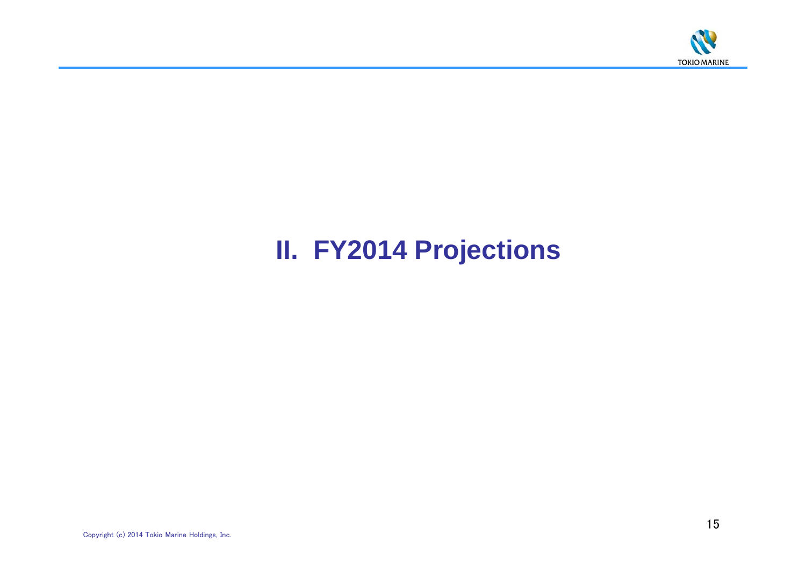

# **II. FY2014 Projections**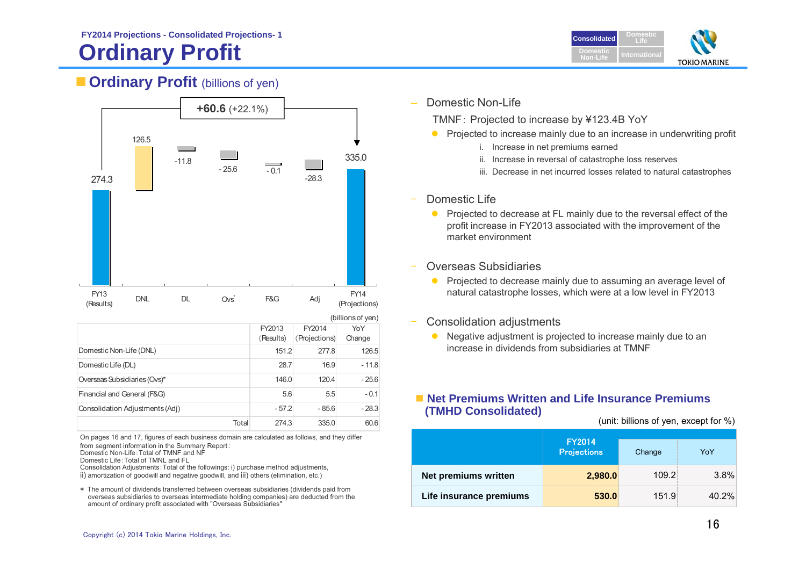# **Ordinary Profit Internation Internation**



## **Cordinary Profit** (billions of yen)



| Domestic Life (DL)              | 28.7    | 16.9    | $-11.8$ |
|---------------------------------|---------|---------|---------|
| Overseas Subsidiaries (Ovs)*    | 146.0   | 120.4   | $-25.6$ |
| Financial and General (F&G)     | 5.6     | 5.5     | $-0.1$  |
| Consolidation Adjustments (Adj) | $-57.2$ | $-85.6$ | $-28.3$ |
| Total                           | 274.3   | 335.0   | 60.6    |

On pages 16 and 17, figures of each business domain are calculated as follows, and they differ from segment information in the Summary Report: Domestic Non-Life:Total of TMNF and NF

Domestic Life:Total of TMNL and FL

Consolidation Adjustments:Total of the followings: i) purchase method adjustments, ii) amortization of goodwill and negative goodwill, and iii) others (elimination, etc.)

\* The amount of dividends transferred between overseas subsidiaries (dividends paid from overseas subsidiaries to overseas intermediate holding companies) are deducted from the amount of ordinary profit associated with "Overseas Subsidiaries"

Domestic Non-Life

TMNF: Projected to increase by ¥123.4B YoY

- **Projected to increase mainly due to an increase in underwriting profit** 
	- i. Increase in net premiums earned
	- ii. Increase in reversal of catastrophe loss reserves
	- iii. Decrease in net incurred losses related to natural catastrophes

### Domestic Life

- Projected to decrease at FL mainly due to the reversal effect of the profit increase in FY2013 associated with the improvement of the market environment
- Overseas Subsidiaries
	- **Projected to decrease mainly due to assuming an average level of** natural catastrophe losses, which were at a low level in FY2013
- Consolidation adjustments
	- $\bullet$  Negative adjustment is projected to increase mainly due to an increase in dividends from subsidiaries at TMNF

### ■ Net Premiums Written and Life Insurance Premiums **(TMHD Consolidated)**

(unit: billions of yen, except for %)

|                         | <b>FY2014</b><br><b>Projections</b> | Change | YoY   |
|-------------------------|-------------------------------------|--------|-------|
| Net premiums written    | 2,980.0                             | 109.2  | 3.8%  |
| Life insurance premiums | 530.0                               | 151.9  | 40.2% |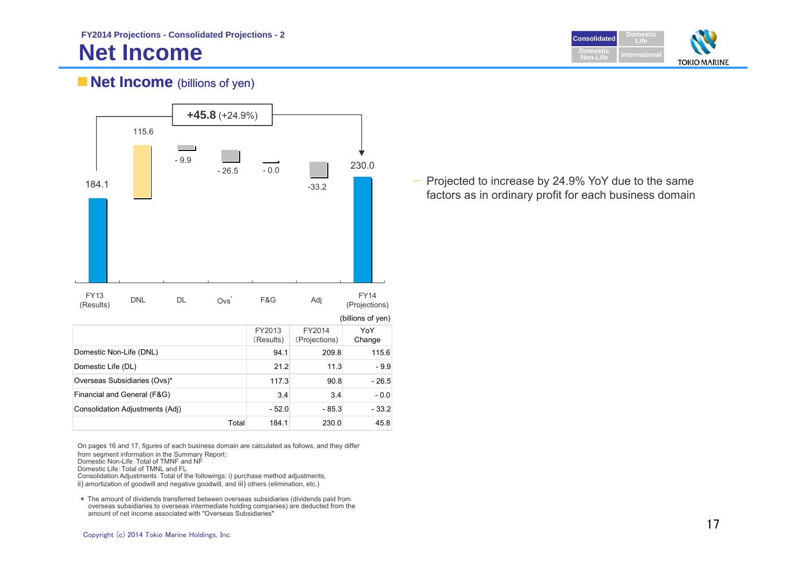## **Net Income**



## **Net Income** (billions of yen)



On pages 16 and 17, figures of each business domain are calculated as follows, and they differ from segment information in the Summary Report: Domestic Non-Life:Total of TMNF and NF

Domestic Life:Total of TMNL and FL

Consolidation Adjustments:Total of the followings: i) purchase method adjustments,

ii) amortization of goodwill and negative goodwill, and iii) others (elimination, etc.)

\* The amount of dividends transferred between overseas subsidiaries (dividends paid from overseas subsidiaries to overseas intermediate holding companies) are deducted from the amount of net income associated with "Overseas Subsidiaries"

— Projected to increase by 24.9% YoY due to the same factors as in ordinary profit for each business domain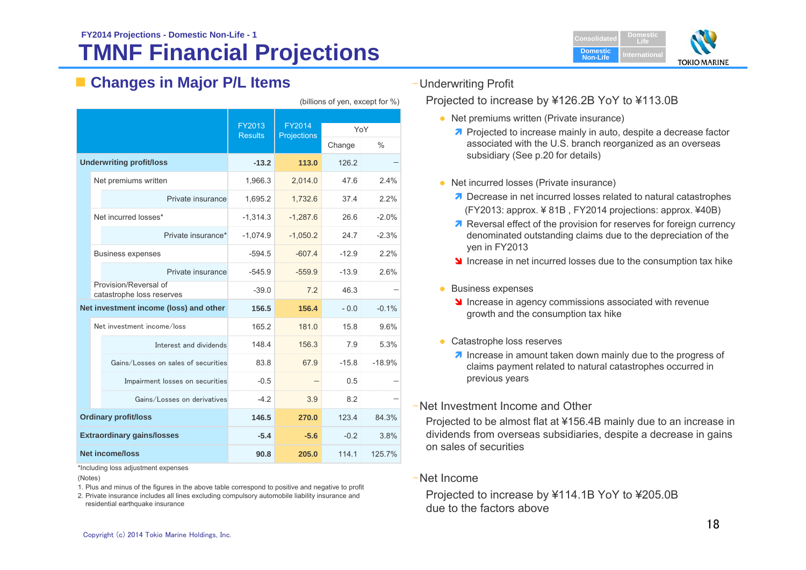## **TMNF Financial Projections FY2014 Projections - Domestic Non-Life - 1**

## **Changes in Major P/L Items**

|                                                    | FY2013         | FY2014      |               |               |
|----------------------------------------------------|----------------|-------------|---------------|---------------|
|                                                    | <b>Results</b> | Projections | YoY<br>Change | $\frac{0}{0}$ |
|                                                    |                | 113.0       | 126.2         |               |
| <b>Underwriting profit/loss</b>                    | $-13.2$        |             |               |               |
| Net premiums written                               | 1,966.3        | 2,014.0     | 47.6          | 2.4%          |
| Private insurance                                  | 1.695.2        | 1.732.6     | 37.4          | 2.2%          |
| Net incurred losses*                               | $-1.314.3$     | $-1.287.6$  | 26.6          | $-2.0%$       |
| Private insurance*                                 | $-1,074.9$     | $-1,050.2$  | 24.7          | $-2.3%$       |
| <b>Business expenses</b>                           | $-594.5$       | $-607.4$    | $-12.9$       | 2.2%          |
| Private insurance                                  | $-545.9$       | $-559.9$    | $-13.9$       | 2.6%          |
| Provision/Reversal of<br>catastrophe loss reserves | $-39.0$        | 7.2         | 46.3          |               |
| Net investment income (loss) and other             | 156.5          | 156.4       | $-0.0$        | $-0.1%$       |
| Net investment income/loss                         | 165.2          | 181.0       | 15.8          | 9.6%          |
| Interest and dividends                             | 148.4          | 156.3       | 7.9           | 5.3%          |
| Gains/Losses on sales of securities                | 83.8           | 67.9        | $-15.8$       | $-18.9%$      |
| Impairment losses on securities                    | $-0.5$         |             | 0.5           |               |
| Gains/Losses on derivatives                        | $-4.2$         | 3.9         | 8.2           |               |
| <b>Ordinary profit/loss</b>                        | 146.5          | 270.0       | 123.4         | 84.3%         |
| <b>Extraordinary gains/losses</b>                  | $-5.4$         | $-5.6$      | $-0.2$        | 3.8%          |
| <b>Net income/loss</b>                             | 90.8           | 205.0       | 114.1         | 125.7%        |

(billions of yen, except for %)



–Underwriting Profit

Projected to increase by ¥126.2B YoY to ¥113.0B

- Net premiums written (Private insurance)
	- **Projected to increase mainly in auto, despite a decrease factor** associated with the U.S. branch reorganized as an overseas subsidiary (See p.20 for details)
- Net incurred losses (Private insurance)
	- **7** Decrease in net incurred losses related to natural catastrophes (FY2013: approx. ¥ 81B , FY2014 projections: approx. ¥40B)
	- **Reversal effect of the provision for reserves for foreign currency** denominated outstanding claims due to the depreciation of the yen in FY2013
	- Increase in net incurred losses due to the consumption tax hike
- **Business expenses** 
	- Increase in agency commissions associated with revenue growth and the consumption tax hike
- Catastrophe loss reserves
	- **Increase in amount taken down mainly due to the progress of** claims payment related to natural catastrophes occurred in previous years

### –Net Investment Income and Other

Projected to be almost flat at ¥156.4B mainly due to an increase in dividends from overseas subsidiaries, despite a decrease in gains on sales of securities

–Net Income

Projected to increase by ¥114.1B YoY to ¥205.0B due to the factors above

\*Including loss adjustment expenses

(Notes)

- 1. Plus and minus of the figures in the above table correspond to positive and negative to profit
- 2. Private insurance includes all lines excluding compulsory automobile liability insurance and residential earthquake insurance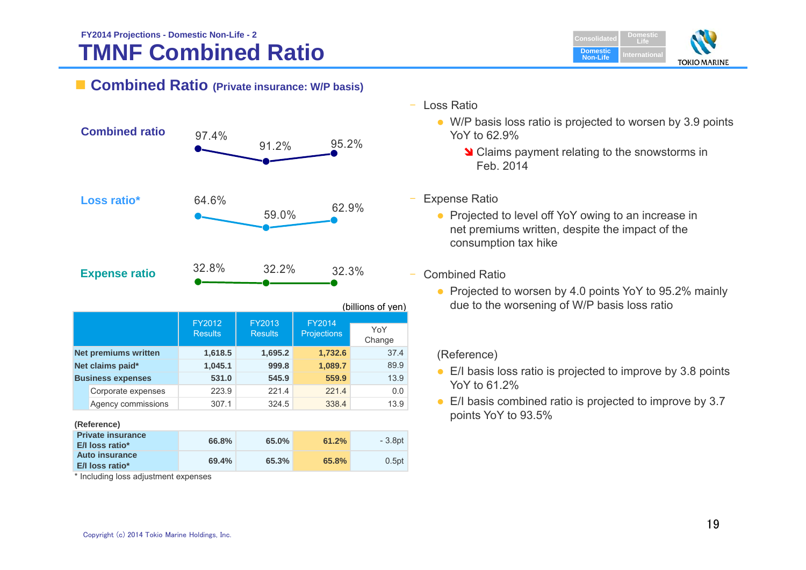## **TMNF Combined Ratio FY2014 Projections - Domestic Non-Life - 2**



### **Combined Ratio (Private insurance: W/P basis)**



|                             |                          |                          |                              | (billions of yen) |
|-----------------------------|--------------------------|--------------------------|------------------------------|-------------------|
|                             | FY2012<br><b>Results</b> | FY2013<br><b>Results</b> | FY2014<br><b>Projections</b> | YoY<br>Change     |
| <b>Net premiums written</b> | 1,618.5                  | 1,695.2                  | 1,732.6                      | 37.4              |
| Net claims paid*            | 1,045.1                  | 999.8                    | 1,089.7                      | 89.9              |
| <b>Business expenses</b>    | 531.0                    | 545.9                    | 559.9                        | 13.9              |
| Corporate expenses          | 223.9                    | 221.4                    | 221.4                        | 0.0               |
| Agency commissions          | 307.1                    | 324.5                    | 338.4                        | 13.9              |

### **(Reference)**

| <b>Private insurance</b><br>E/I loss ratio* | 66.8% | 65.0% | 61.2% | - 3.8pt  |
|---------------------------------------------|-------|-------|-------|----------|
| Auto insurance<br>E/I loss ratio*           | 69.4% | 65.3% | 65.8% | $0.5$ pt |

\* Including loss adjustment expenses

- Loss Ratio
	- W/P basis loss ratio is projected to worsen by 3.9 points YoY to 62.9%
		- **V** Claims payment relating to the snowstorms in Feb. 2014
- Expense Ratio
	- Projected to level off YoY owing to an increase in net premiums written, despite the impact of the consumption tax hike
- – Combined Ratio
	- Projected to worsen by 4.0 points YoY to 95.2% mainly due to the worsening of W/P basis loss ratio

### (Reference)

- E/I basis loss ratio is projected to improve by 3.8 points YoY to 61.2%
- E/I basis combined ratio is projected to improve by 3.7 points YoY to 93.5%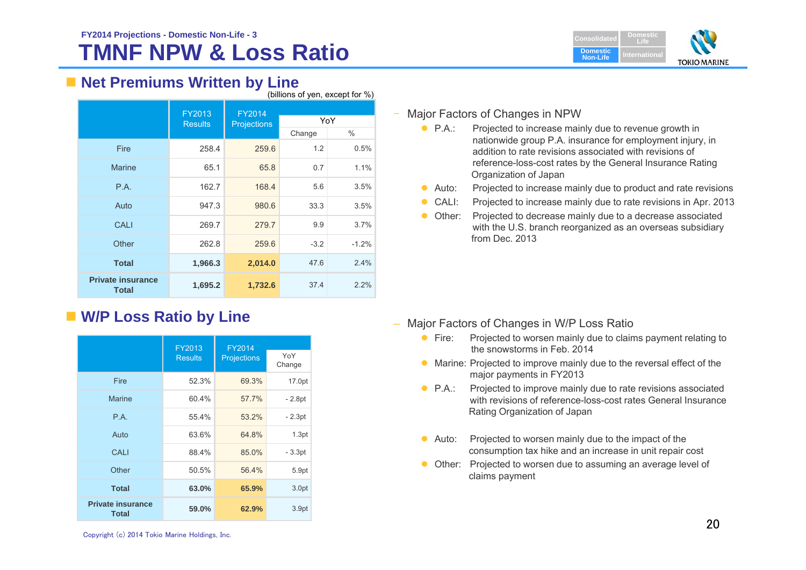

### ■ Net Premiums Written by Line  $(b)$ illions of yon, except for  $\frac{0}{10}$

|                                          | (Dillions of you, except for 70) |                              |        |         |  |  |  |
|------------------------------------------|----------------------------------|------------------------------|--------|---------|--|--|--|
|                                          | FY2013<br><b>Results</b>         | FY2014<br><b>Projections</b> | YoY    |         |  |  |  |
|                                          |                                  |                              | Change | ℅       |  |  |  |
| Fire                                     | 258.4                            | 259.6                        | 1.2    | 0.5%    |  |  |  |
| <b>Marine</b>                            | 65.1                             | 65.8                         | 0.7    | 1.1%    |  |  |  |
| P.A.                                     | 162.7                            | 168.4                        | 5.6    | 3.5%    |  |  |  |
| Auto                                     | 947.3                            | 980.6                        | 33.3   | 3.5%    |  |  |  |
| <b>CALI</b>                              | 269.7                            | 279.7                        | 9.9    | 3.7%    |  |  |  |
| Other                                    | 262.8                            | 259.6                        | $-3.2$ | $-1.2%$ |  |  |  |
| <b>Total</b>                             | 1,966.3                          | 2,014.0                      | 47.6   | 2.4%    |  |  |  |
| <b>Private insurance</b><br><b>Total</b> | 1,695.2                          | 1,732.6                      | 37.4   | 2.2%    |  |  |  |

## **W/P Loss Ratio by Line**

|                                          | FY2013         | FY2014             |               |
|------------------------------------------|----------------|--------------------|---------------|
|                                          | <b>Results</b> | <b>Projections</b> | YoY<br>Change |
| Fire                                     | 52.3%          | 69.3%              | 17.0pt        |
| <b>Marine</b>                            | 60.4%          | 57.7%              | - 2.8pt       |
| P.A.                                     | 55.4%          | 53.2%              | $-2.3pt$      |
| Auto                                     | 63.6%          | 64.8%              | 1.3pt         |
| CALI                                     | 88.4%          | 85.0%              | $-3.3pt$      |
| Other                                    | 50.5%          | 56.4%              | 5.9pt         |
| <b>Total</b>                             | 63.0%          | 65.9%              | 3.0pt         |
| <b>Private insurance</b><br><b>Total</b> | 59.0%          | 62.9%              | 3.9pt         |

### – Major Factors of Changes in NPW

- $\bullet$  PA $\cdot$ Projected to increase mainly due to revenue growth in nationwide group P.A. insurance for employment injury, in addition to rate revisions associated with revisions of reference-loss-cost rates by the General Insurance Rating Organization of Japan
- $\bullet$  Auto: Projected to increase mainly due to product and rate revisions
- $\bullet$ CALI: Projected to increase mainly due to rate revisions in Apr. 2013
- Other: Projected to decrease mainly due to a decrease associated with the U.S. branch reorganized as an overseas subsidiary from Dec. 2013

- Major Factors of Changes in W/P Loss Ratio
	- $\bullet$  Fire: Projected to worsen mainly due to claims payment relating to the snowstorms in Feb. 2014
	- Marine: Projected to improve mainly due to the reversal effect of the major payments in FY2013
	- $\bullet$  PA $\cdot$ Projected to improve mainly due to rate revisions associated with revisions of reference-loss-cost rates General Insurance Rating Organization of Japan
	- $\bullet$  Auto: Projected to worsen mainly due to the impact of the consumption tax hike and an increase in unit repair cost
	- Other: Projected to worsen due to assuming an average level of claims payment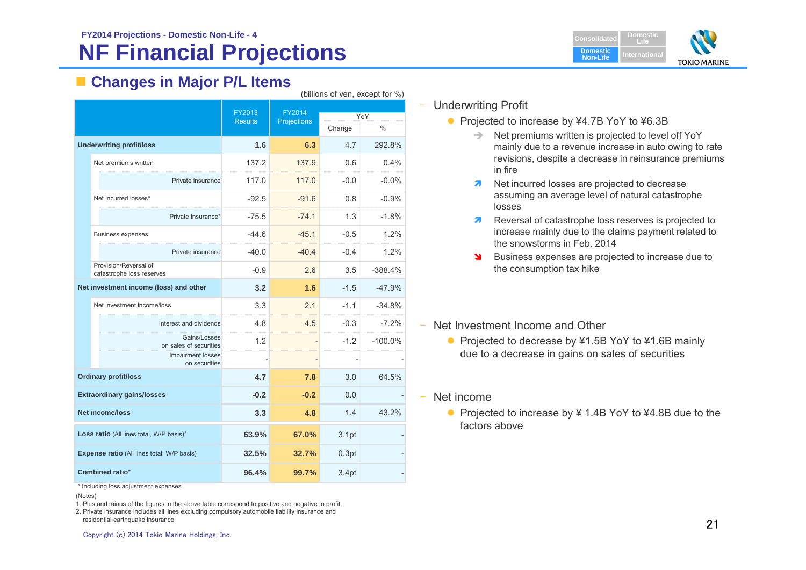## **NF Financial Projections**



## **Changes in Major P/L Items**

|                                            | (billions of yen, except for %)                    |                          |                       |                   |                      |  |  |  |
|--------------------------------------------|----------------------------------------------------|--------------------------|-----------------------|-------------------|----------------------|--|--|--|
|                                            |                                                    | FY2013<br><b>Results</b> | FY2014<br>Projections | Change            | YoY<br>$\frac{0}{0}$ |  |  |  |
|                                            | <b>Underwriting profit/loss</b>                    | 1.6                      | 6.3                   | 4.7               | 292.8%               |  |  |  |
|                                            | Net premiums written                               | 137.2                    | 137.9                 | 0.6               | 0.4%                 |  |  |  |
|                                            | Private insurance                                  | 117.0                    | 117.0                 | $-0.0$            | $-0.0\%$             |  |  |  |
|                                            | Net incurred losses*                               | $-92.5$                  | $-91.6$               | 0.8               | $-0.9%$              |  |  |  |
|                                            | Private insurance*                                 | $-75.5$                  | $-74.1$               | 1.3               | $-1.8%$              |  |  |  |
|                                            | <b>Business expenses</b>                           | $-44.6$                  | $-45.1$               | $-0.5$            | 1.2%                 |  |  |  |
|                                            | Private insurance                                  | -40.0                    | $-40.4$               | $-0.4$            | 1.2%                 |  |  |  |
|                                            | Provision/Reversal of<br>catastrophe loss reserves | $-0.9$                   | 2.6                   | 3.5               | $-388.4%$            |  |  |  |
|                                            | Net investment income (loss) and other             | 3.2                      | 1.6                   | $-1.5$            | $-47.9%$             |  |  |  |
|                                            | Net investment income/loss                         | 3.3                      | 2.1                   | $-1.1$            | $-34.8%$             |  |  |  |
|                                            | Interest and dividends                             | 4.8                      | 4.5                   | $-0.3$            | $-7.2%$              |  |  |  |
|                                            | Gains/Losses<br>on sales of securities             | 1.2                      | -                     | $-1.2$            | $-100.0\%$           |  |  |  |
|                                            | Impairment losses<br>on securities                 |                          | $\overline{a}$        |                   |                      |  |  |  |
|                                            | <b>Ordinary profit/loss</b>                        | 4.7                      | 7.8                   | 3.0               | 64.5%                |  |  |  |
|                                            | <b>Extraordinary gains/losses</b>                  | $-0.2$                   | $-0.2$                | 0.0               |                      |  |  |  |
| <b>Net income/loss</b>                     |                                                    | 3.3                      | 4.8                   | 1.4               | 43.2%                |  |  |  |
|                                            | Loss ratio (All lines total, W/P basis)*           | 63.9%                    | 67.0%                 | 3.1 <sub>pt</sub> |                      |  |  |  |
| Expense ratio (All lines total, W/P basis) |                                                    | 32.5%                    | 32.7%                 | 0.3pt             |                      |  |  |  |
|                                            | <b>Combined ratio*</b>                             | 96.4%                    | 99.7%                 | 3.4pt             |                      |  |  |  |

\* Including loss adjustment expenses

(Notes)

1. Plus and minus of the figures in the above table correspond to positive and negative to profit

2. Private insurance includes all lines excluding compulsory automobile liability insurance and residential earthquake insurance

- Projected to increase by ¥4.7B YoY to ¥6.3B
	- $\Rightarrow$  Net premiums written is projected to level off YoY mainly due to a revenue increase in auto owing to rate revisions, despite a decrease in reinsurance premiums in fire
	- $\overline{\mathbf{z}}$  Net incurred losses are projected to decrease assuming an average level of natural catastrophe losses
	- $\mathbf{z}$  Reversal of catastrophe loss reserves is projected to increase mainly due to the claims payment related to the snowstorms in Feb. 2014
	- $\blacktriangleright$  Business expenses are projected to increase due to the consumption tax hike
- Net Investment Income and Other
	- Projected to decrease by ¥1.5B YoY to ¥1.6B mainly due to a decrease in gains on sales of securities
- Net income
	- Projected to increase by ¥ 1.4B YoY to ¥4.8B due to the factors above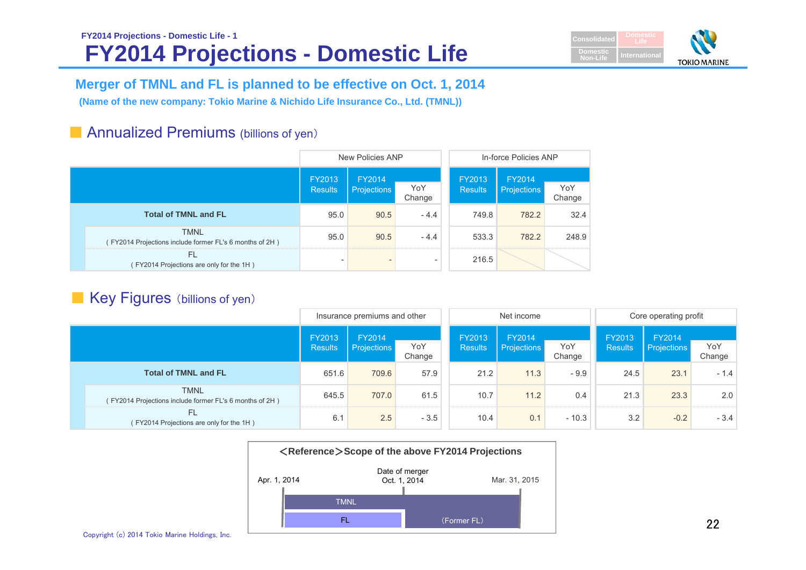## **FY2014 Projections - Domestic Life FY2014 Projections - Domestic Life - 1**



## **Merger of TMNL and FL is planned to be effective on Oct. 1, 2014**

**(Name of the new company: Tokio Marine & Nichido Life Insurance Co., Ltd. (TMNL))**

## ■ Annualized Premiums (billions of yen)

|                                                                       |                                                                                                                                            |   |                          | In-force Policies ANP        |               |       |  |
|-----------------------------------------------------------------------|--------------------------------------------------------------------------------------------------------------------------------------------|---|--------------------------|------------------------------|---------------|-------|--|
|                                                                       | New Policies ANP<br>FY2013<br>FY2014<br>YoY<br>Projections<br><b>Results</b><br>Change<br>95.0<br>90.5<br>$-4.4$<br>95.0<br>90.5<br>$-4.4$ |   | FY2013<br><b>Results</b> | FY2014<br><b>Projections</b> | YoY<br>Change |       |  |
| <b>Total of TMNL and FL</b>                                           |                                                                                                                                            |   |                          | 749.8                        | 782.2         | 32.4  |  |
| <b>TMNL</b><br>FY2014 Projections include former FL's 6 months of 2H) |                                                                                                                                            |   |                          | 533.3                        | 782.2         | 248.9 |  |
| FL<br>FY2014 Projections are only for the 1H)                         |                                                                                                                                            | - | $\overline{\phantom{a}}$ | 216.5                        |               |       |  |

## ■ Key Figures (billions of yen)

|                                                                        | Net income<br>Insurance premiums and other |                                               |        | Core operating profit    |                              |               |                          |                              |               |        |
|------------------------------------------------------------------------|--------------------------------------------|-----------------------------------------------|--------|--------------------------|------------------------------|---------------|--------------------------|------------------------------|---------------|--------|
|                                                                        | FY2013<br><b>Results</b>                   | FY2014<br>YoY<br><b>Projections</b><br>Change |        | FY2013<br><b>Results</b> | FY2014<br><b>Projections</b> | YoY<br>Change | FY2013<br><b>Results</b> | FY2014<br><b>Projections</b> | YoY<br>Change |        |
| <b>Total of TMNL and FL</b>                                            | 651.6                                      | 709.6                                         | 57.9   |                          | 21.2                         | 11.3          | $-9.9$                   | 24.5                         | 23.1          | $-1.4$ |
| <b>TMNL</b><br>(FY2014 Projections include former FL's 6 months of 2H) | 645.5                                      | 707.0                                         | 61.5   |                          | 10.7                         | 11.2          | 0.4                      | 21.3                         | 23.3          | 2.0    |
| <b>FL</b><br>(FY2014 Projections are only for the 1H)                  | 6.1                                        | 2.5                                           | $-3.5$ |                          | 10.4                         | 0.1           | $-10.3$                  | 3.2                          | $-0.2$        | $-3.4$ |



Copyright (c) 2014 Tokio Marine Holdings, Inc.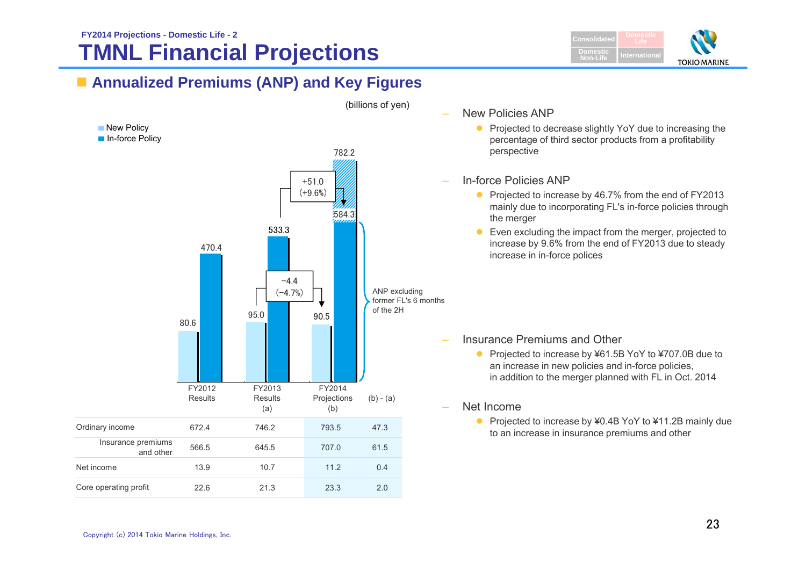## **TMNL Financial Projections FY2014 Projections - Domestic Life - 2**



## **Annualized Premiums (ANP) and Key Figures**



- New Policies ANP
	- $\bullet$  Projected to decrease slightly YoY due to increasing the percentage of third sector products from a profitability perspective

### In-force Policies ANP

- Projected to increase by 46.7% from the end of FY2013 mainly due to incorporating FL's in-force policies through the merger
- **Even excluding the impact from the merger, projected to** increase by 9.6% from the end of FY2013 due to steady increase in in-force polices

### Insurance Premiums and Other

● Projected to increase by ¥61.5B YoY to ¥707.0B due to an increase in new policies and in-force policies, in addition to the merger planned with FL in Oct. 2014

### Net Income

● Projected to increase by ¥0.4B YoY to ¥11.2B mainly due to an increase in insurance premiums and other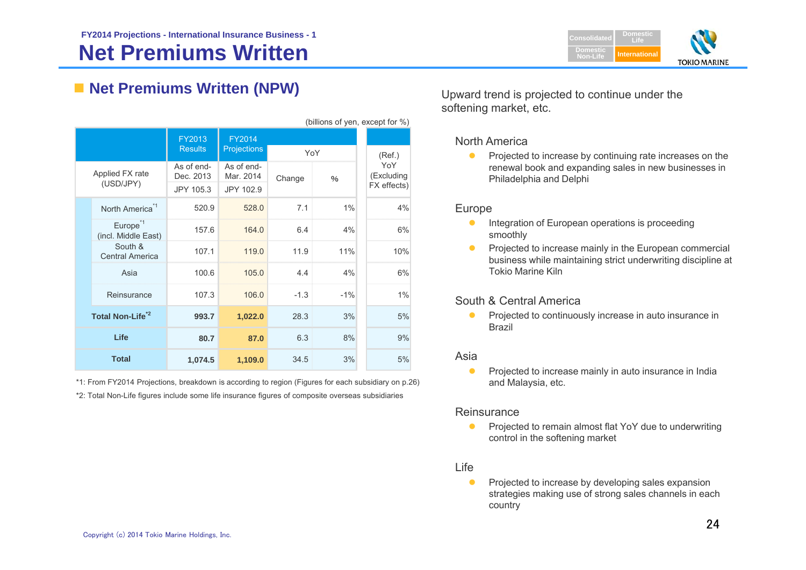

## **Net Premiums Written (NPW)** Upward trend is projected to continue under the

| 5.11 |                                             |                                      |                                      |        |               |                                  |
|------|---------------------------------------------|--------------------------------------|--------------------------------------|--------|---------------|----------------------------------|
|      |                                             | FY2013<br><b>Results</b>             | <b>FY2014</b><br><b>Projections</b>  | YoY    |               | (Ref.)                           |
|      | Applied FX rate<br>(USD/JPY)                | As of end-<br>Dec. 2013<br>JPY 105.3 | As of end-<br>Mar. 2014<br>JPY 102.9 | Change | $\frac{0}{0}$ | YoY<br>(Excluding<br>FX effects) |
|      | North America <sup>*1</sup>                 | 520.9                                | 528.0                                | 7.1    | 1%            | 4%                               |
|      | Europe <sup>*1</sup><br>(incl. Middle East) | 157.6                                | 164.0                                | 6.4    | 4%            | 6%                               |
|      | South &<br><b>Central America</b>           | 107.1                                | 119.0                                | 11.9   | 11%           | 10%                              |
|      | Asia                                        | 100.6                                | 105.0                                | 4.4    | 4%            | 6%                               |
|      | Reinsurance                                 | 107.3                                | 106.0                                | $-1.3$ | $-1%$         | 1%                               |
|      | Total Non-Life <sup>2</sup>                 | 993.7                                | 1,022.0                              | 28.3   | 3%            | 5%                               |
|      | Life                                        | 80.7                                 | 87.0                                 | 6.3    | 8%            | 9%                               |
|      | <b>Total</b>                                | 1,074.5                              | 1,109.0                              | 34.5   | 3%            | 5%                               |

\*1: From FY2014 Projections, breakdown is according to region (Figures for each subsidiary on p.26) \*2: Total Non-Life figures include some life insurance figures of composite overseas subsidiaries

softening market, etc.

### North America

0 Projected to increase by continuing rate increases on the renewal book and expanding sales in new businesses in Philadelphia and Delphi

### Europe

(billions of yen, except for  $\%$ )

- $\bullet$  Integration of European operations is proceeding smoothly
- $\bullet$  Projected to increase mainly in the European commercial business while maintaining strict underwriting discipline at Tokio Marine Kiln

### South & Central America

 $\bullet$  Projected to continuously increase in auto insurance in Brazil

### Asia

 $\bullet$  Projected to increase mainly in auto insurance in India and Malaysia, etc.

### Reinsurance

 $\bullet$  Projected to remain almost flat YoY due to underwriting control in the softening market

### Life

Ô Projected to increase by developing sales expansion strategies making use of strong sales channels in each country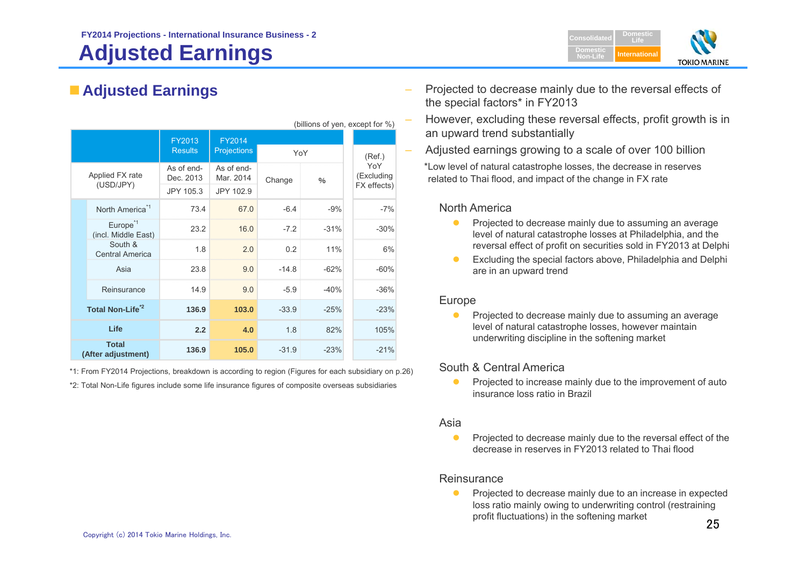# **Adjusted Earnings**



| (billions of yen, except for %) |                                             |                                      |                                      |                   |               |  |                                  |
|---------------------------------|---------------------------------------------|--------------------------------------|--------------------------------------|-------------------|---------------|--|----------------------------------|
|                                 |                                             | FY2013<br><b>Results</b>             | <b>FY2014</b><br><b>Projections</b>  | YoY               |               |  | (Ref.)                           |
|                                 | Applied FX rate<br>(USD/JPY)                | As of end-<br>Dec. 2013<br>JPY 105.3 | As of end-<br>Mar. 2014<br>JPY 102.9 | Change            | $\frac{0}{0}$ |  | YoY<br>(Excluding<br>FX effects) |
|                                 | North America <sup>*1</sup>                 | 73.4                                 | 67.0                                 | $-6.4$            | $-9%$         |  | $-7%$                            |
|                                 | Europe <sup>*1</sup><br>(incl. Middle East) | 23.2                                 | 16.0                                 | $-7.2$            | $-31%$        |  | $-30%$                           |
|                                 | South &<br><b>Central America</b>           | 1.8                                  | 2.0                                  | 0.2               | 11%           |  | 6%                               |
|                                 | Asia                                        | 23.8                                 | 9.0                                  | $-14.8$           | $-62%$        |  | $-60%$                           |
|                                 | Reinsurance                                 | 14.9                                 | 9.0                                  | $-5.9$            | $-40%$        |  | $-36%$                           |
|                                 | Total Non-Life <sup>2</sup>                 | 136.9                                | 103.0                                | $-33.9$<br>$-25%$ |               |  | $-23%$                           |
|                                 | Life                                        | 2.2                                  | 4.0                                  | 1.8<br>82%        |               |  | 105%                             |
|                                 | <b>Total</b><br>(After adjustment)          | 136.9                                | 105.0                                | $-31.9$<br>$-23%$ |               |  | $-21%$                           |

\*1: From FY2014 Projections, breakdown is according to region (Figures for each subsidiary on p.26)

\*2: Total Non-Life figures include some life insurance figures of composite overseas subsidiaries

- Adjusted Earnings<br>
 Adjusted Earnings<br>
the special factors\* in FY2013
	- However, excluding these reversal effects, profit growth is in an upward trend substantially
	- Adjusted earnings growing to a scale of over 100 billion

\*Low level of natural catastrophe losses, the decrease in reserves related to Thai flood, and impact of the change in FX rate

### North America

- $\bullet$  Projected to decrease mainly due to assuming an average level of natural catastrophe losses at Philadelphia, and the reversal effect of profit on securities sold in FY2013 at Delphi
- $\bullet$  Excluding the special factors above, Philadelphia and Delphi are in an upward trend

### Europe

 $\bullet$  Projected to decrease mainly due to assuming an average level of natural catastrophe losses, however maintain underwriting discipline in the softening market

### South & Central America

 $\bullet$  Projected to increase mainly due to the improvement of auto insurance loss ratio in Brazil

### Asia

 $\bullet$  Projected to decrease mainly due to the reversal effect of the decrease in reserves in FY2013 related to Thai flood

### **Reinsurance**

 $\bullet$  Projected to decrease mainly due to an increase in expected loss ratio mainly owing to underwriting control (restraining profit fluctuations) in the softening market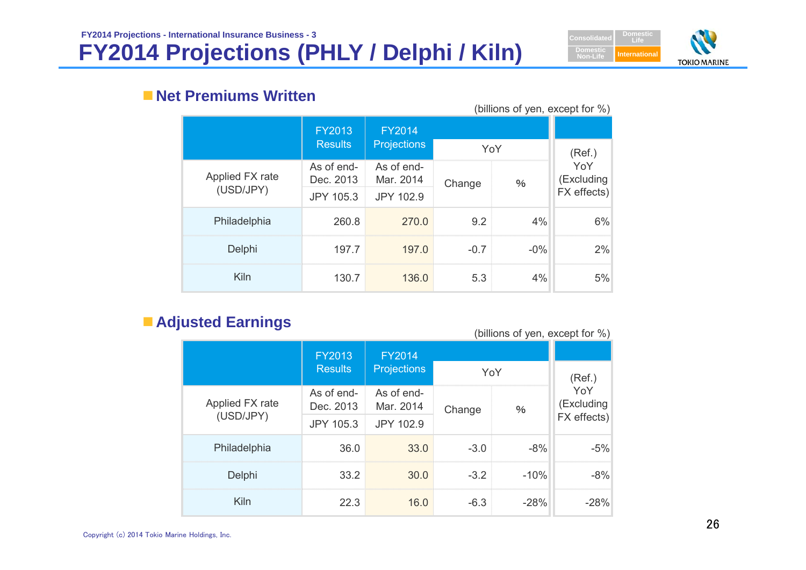# **FY2014 Projections (PHLY / Delphi / Kiln)**



## **Net Premiums Written**

| (billions of yen, except for $\%$ ) |                         |                         |        |        |                   |  |  |  |  |
|-------------------------------------|-------------------------|-------------------------|--------|--------|-------------------|--|--|--|--|
|                                     | <b>FY2013</b>           | <b>FY2014</b>           |        |        |                   |  |  |  |  |
|                                     | <b>Results</b>          | <b>Projections</b>      | YoY    |        | (Ref.)            |  |  |  |  |
| Applied FX rate                     | As of end-<br>Dec. 2013 | As of end-<br>Mar. 2014 | Change | $\%$   | YoY<br>(Excluding |  |  |  |  |
| (USD/JPY)                           | <b>JPY 105.3</b>        | JPY 102.9               |        |        | FX effects)       |  |  |  |  |
| Philadelphia                        | 260.8                   | 270.0                   | 9.2    | 4%     | 6%                |  |  |  |  |
| Delphi                              | 197.7                   | 197.0                   | $-0.7$ | $-0\%$ | 2%                |  |  |  |  |
| Kiln                                | 130.7                   | 136.0                   | 5.3    | 4%     | 5%                |  |  |  |  |

# **Adjusted Earnings Adjusted Earnings** (billions of yen, except for %)

|                 | <b>FY2013</b>           | <b>FY2014</b>           |        |        |                   |
|-----------------|-------------------------|-------------------------|--------|--------|-------------------|
|                 | <b>Results</b>          | <b>Projections</b>      |        | YoY    | (Ref.)            |
| Applied FX rate | As of end-<br>Dec. 2013 | As of end-<br>Mar. 2014 | Change | $\%$   | YoY<br>(Excluding |
| (USD/JPY)       | <b>JPY 105.3</b>        | JPY 102.9               |        |        | FX effects)       |
| Philadelphia    | 36.0                    | 33.0                    | $-3.0$ | $-8%$  | $-5%$             |
| Delphi          | 33.2                    | 30.0                    | $-3.2$ | $-10%$ | $-8%$             |
| Kiln            | 22.3                    | 16.0                    | $-6.3$ | $-28%$ | $-28%$            |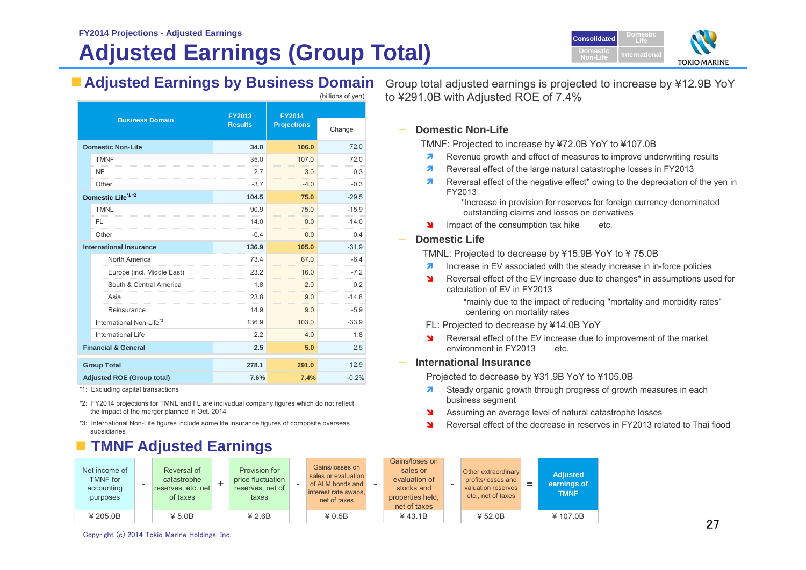# **Adjusted Earnings (Group Total)**



|                                      | <b>FY2013</b>  | <b>FY2014</b>      |         |
|--------------------------------------|----------------|--------------------|---------|
| <b>Business Domain</b>               | <b>Results</b> | <b>Projections</b> | Change  |
| <b>Domestic Non-Life</b>             | 34.0           | 106.0              | 72.0    |
| <b>TMNF</b>                          | 35.0           | 107.0              | 72.0    |
| <b>NF</b>                            | 2.7            | 3.0                | 0.3     |
| Other                                | $-3.7$         | $-4.0$             | $-0.3$  |
| Domestic Life <sup>*1 *2</sup>       | 104.5          | 75.0               | $-29.5$ |
| <b>TMNL</b>                          | 90.9           | 75.0               | $-15.9$ |
| FI.                                  | 14.0           | 0.0                | $-14.0$ |
| Other                                | $-0.4$         | 0.0                | 0.4     |
| <b>International Insurance</b>       | 136.9          | 105.0              | $-31.9$ |
| North America                        | 73.4<br>       | 67.0               | $-6.4$  |
| Europe (incl. Middle East)           | 23.2           | 16.0               | $-7.2$  |
| South & Central America              | 1.8            | 2.0                | 0.2     |
| Asia                                 | 23.8           | 9.0                | $-14.8$ |
| Reinsurance                          | 14.9           | 9.0                | $-5.9$  |
| International Non-Life <sup>*3</sup> | 136.9          | 103.0              | $-33.9$ |
| International Life                   | 2.2            | 4.0                | 1.8     |
| <b>Financial &amp; General</b>       | 2.5            | 5.0                | 2.5     |
| <b>Group Total</b>                   | 278.1          | 291.0              | 12.9    |
| <b>Adjusted ROE (Group total)</b>    | 7.6%           | 7.4%               | $-0.2%$ |

\*1: Excluding capital transactions

\*2: FY2014 projections for TMNL and FL are indivudual company figures which do not reflect the impact of the merger planned in Oct. 2014

\*3: International Non-Life figures include some life insurance figures of composite overseas subsidiaries

## **TMNF Adjusted Earnings**

| Net income of<br><b>TMNF</b> for<br>accounting<br>purposes | Reversal of<br>catastrophe<br>reserves, etc. net<br>of taxes | $\pm$ | Provision for<br>price fluctuation<br>reserves, net of<br>taxes | Gai<br>sales<br>of AL<br>intere<br>n |
|------------------------------------------------------------|--------------------------------------------------------------|-------|-----------------------------------------------------------------|--------------------------------------|
| ¥ 205.0B                                                   | ¥ 5.0B                                                       |       | ¥ 2.6B                                                          |                                      |

■ Adjusted Earnings by Business Domain Group total adjusted earnings is projected to increase by ¥12.9B YoY to ¥291.0B with Adjusted ROE of 7.4%

### **Domestic Non-Life**

TMNF: Projected to increase by ¥72.0B YoY to ¥107.0B

- 7 Revenue growth and effect of measures to improve underwriting results
- 21 Reversal effect of the large natural catastrophe losses in FY2013
- 7 Reversal effect of the negative effect\* owing to the depreciation of the yen in FY2013

\*Increase in provision for reserves for foreign currency denominated outstanding claims and losses on derivatives

- **IMP** Impact of the consumption tax hike etc.
- **Domestic Life**

TMNL: Projected to decrease by ¥15.9B YoY to ¥ 75.0B

- $\overline{\mathbf{z}}$ Increase in EV associated with the steady increase in in-force policies
- $\overline{\mathbf{v}}$  Reversal effect of the EV increase due to changes\* in assumptions used for calculation of EV in FY2013

\*mainly due to the impact of reducing "mortality and morbidity rates" centering on mortality rates

- FL: Projected to decrease by ¥14.0B YoY
- ¥. Reversal effect of the EV increase due to improvement of the market environment in FY2013 etc.

### **International Insurance**

Projected to decrease by ¥31.9B YoY to ¥105.0B

- $\overline{\phantom{a}}$  Steady organic growth through progress of growth measures in each business segment
- N Assuming an average level of natural catastrophe losses
- N Reversal effect of the decrease in reserves in FY2013 related to Thai flood

| e of<br>эr<br>٦g<br>'S | Reversal of<br>catastrophe<br>reserves, etc. net<br>of taxes | Provision for<br>price fluctuation<br>reserves, net of<br>taxes | - | Gains/losses on<br>sales or evaluation<br>of ALM bonds and<br>interest rate swaps.<br>net of taxes | - | Gains/loses on<br>sales or<br>evaluation of<br>stocks and<br>properties held,<br>net of taxes | Other extraordinary<br>profits/losses and<br>valuation reserves<br>etc., net of taxes | = | <b>Adjusted</b><br>earnings of<br><b>TMNF</b> |
|------------------------|--------------------------------------------------------------|-----------------------------------------------------------------|---|----------------------------------------------------------------------------------------------------|---|-----------------------------------------------------------------------------------------------|---------------------------------------------------------------------------------------|---|-----------------------------------------------|
| B                      | ¥ 5.0B                                                       | ¥ 2.6B                                                          |   | ¥ 0.5B                                                                                             |   | $¥$ 43.1B                                                                                     | ¥ 52.0B                                                                               |   | ¥107.0B                                       |

Copyright (c) 2014 Tokio Marine Holdings, Inc.

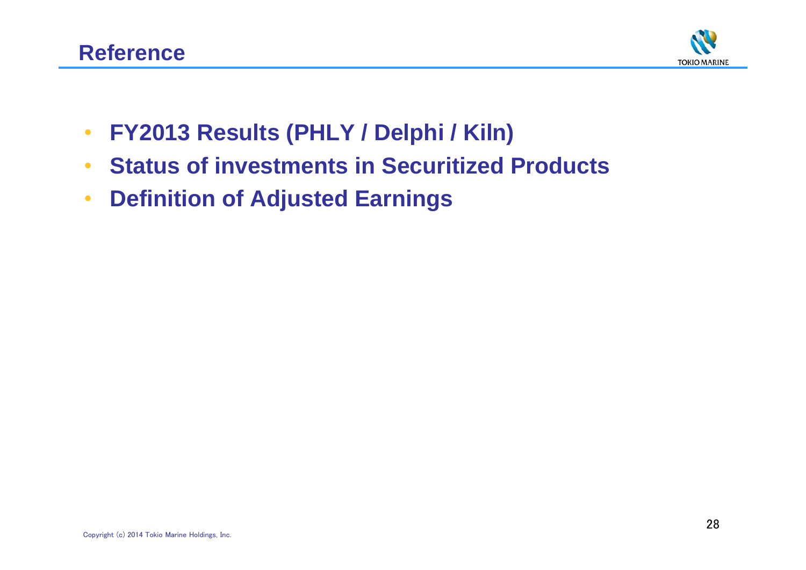

- •**FY2013 Results (PHLY / Delphi / Kiln)**
- •**Status of investments in Securitized Products**
- •**Definition of Adjusted Earnings**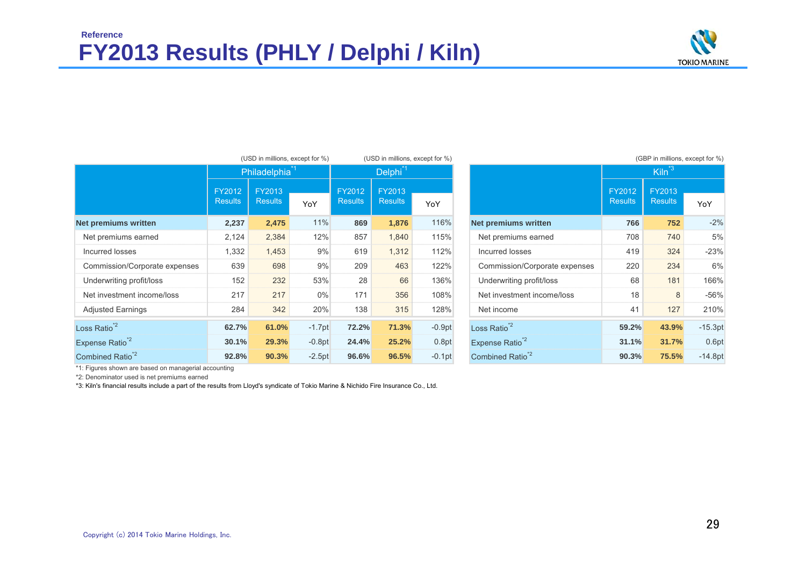## **FY2013 Results (PHLY / Delphi / Kiln) Reference**



|                               | (USD in millions, except for %) |                           | (USD in millions, except for %) |                          |                          |          |                               | (GBP in millions, except for %) |                          |                   |
|-------------------------------|---------------------------------|---------------------------|---------------------------------|--------------------------|--------------------------|----------|-------------------------------|---------------------------------|--------------------------|-------------------|
|                               |                                 | Philadelphia <sup>1</sup> |                                 | Delphi <sup>*1</sup>     |                          |          |                               |                                 | $Kiln^3$                 |                   |
|                               | FY2012<br><b>Results</b>        | FY2013<br><b>Results</b>  | YoY                             | FY2012<br><b>Results</b> | FY2013<br><b>Results</b> | YoY      |                               | FY2012<br><b>Results</b>        | FY2013<br><b>Results</b> | YoY               |
| Net premiums written          | 2,237                           | 2,475                     | 11%                             | 869                      | 1,876                    | 116%     | <b>Net premiums written</b>   | 766                             | 752                      | $-2%$             |
| Net premiums earned           | 2,124                           | 2,384                     | 12%                             | 857                      | 1,840                    | 115%     | Net premiums earned           | 708                             | 740                      | 5%                |
| Incurred losses               | 1,332                           | 1,453                     | 9%                              | 619                      | 1,312                    | 112%     | Incurred losses               | 419                             | 324                      | $-23%$            |
| Commission/Corporate expenses | 639                             | 698                       | 9%                              | 209                      | 463                      | 122%     | Commission/Corporate expenses | 220                             | 234                      | 6%                |
| Underwriting profit/loss      | 152                             | 232                       | 53%                             | 28                       | 66                       | 136%     | Underwriting profit/loss      | 68                              | 181                      | 166%              |
| Net investment income/loss    | 217                             | 217                       | 0%                              | 171                      | 356                      | 108%     | Net investment income/loss    | 18                              | 8                        | $-56%$            |
| <b>Adjusted Earnings</b>      | 284                             | 342                       | 20%                             | 138                      | 315                      | 128%     | Net income                    | 41                              | 127                      | 210%              |
| Loss Ratio <sup>*2</sup>      | 62.7%                           | 61.0%                     | $-1.7pt$                        | 72.2%                    | 71.3%                    | $-0.9pt$ | Loss Ratio <sup>*2</sup>      | 59.2%                           | 43.9%                    | $-15.3pt$         |
| Expense Ratio <sup>*2</sup>   | 30.1%                           | 29.3%                     | $-0.8pt$                        | 24.4%                    | 25.2%                    | 0.8pt    | Expense Ratio <sup>*2</sup>   | 31.1%                           | 31.7%                    | 0.6 <sub>pt</sub> |
| Combined Ratio <sup>*2</sup>  | 92.8%                           | 90.3%                     | $-2.5pt$                        | 96.6%                    | 96.5%                    | $-0.1pt$ | Combined Ratio <sup>2</sup>   | 90.3%                           | 75.5%                    | $-14.8pt$         |

|  | (GBP in millions, except for %) |  |  |
|--|---------------------------------|--|--|
|  |                                 |  |  |

| $\overline{\textsf{nia}}^{\textsf{*1}}$ |          | Delphi <sup>*1</sup> |                |          |                               |        | $Kiln^3$       |           |  |
|-----------------------------------------|----------|----------------------|----------------|----------|-------------------------------|--------|----------------|-----------|--|
|                                         |          | FY2012               | FY2013         |          |                               | FY2012 | FY2013         |           |  |
|                                         | YoY      | <b>Results</b>       | <b>Results</b> | YoY      |                               |        | <b>Results</b> | YoY       |  |
| 5                                       | 11%      | 869                  | 1,876          | 116%     | <b>Net premiums written</b>   | 766    | 752            | $-2%$     |  |
| 4                                       | 12%      | 857                  | 1.840          | 115%     | Net premiums earned           | 708    | 740            | 5%        |  |
| 3                                       | 9%       | 619                  | 1.312          | 112%     | Incurred losses               | 419    | 324            | $-23%$    |  |
| 8                                       | 9%       | 209                  | 463            | 122%     | Commission/Corporate expenses | 220    | 234            | 6%        |  |
| $\overline{2}$                          | 53%      | 28                   | 66             | 136%     | Underwriting profit/loss      | 68     | 181            | 166%      |  |
| $\overline{7}$                          | $0\%$    | 171                  | 356            | 108%     | Net investment income/loss    | 18     | 8              | $-56%$    |  |
| $\overline{2}$                          | 20%      | 138                  | 315            | 128%     | Net income                    | 41     | 127            | 210%      |  |
| %                                       | $-1.7pt$ | 72.2%                | 71.3%          | $-0.9pt$ | Loss Ratio <sup>*2</sup>      | 59.2%  | 43.9%          | $-15.3pt$ |  |
| ℅                                       | $-0.8pt$ | 24.4%                | 25.2%          | 0.8pt    | Expense Ratio <sup>*2</sup>   | 31.1%  | 31.7%          | 0.6pt     |  |
| %                                       | $-2.5pt$ | 96.6%                | 96.5%          | $-0.1pt$ | Combined Ratio <sup>2</sup>   | 90.3%  | 75.5%          | $-14.8pt$ |  |

\*1: Figures shown are based on managerial accounting

\*2: Denominator used is net premiums earned

\*3: Kiln's financial results include a part of the results from Lloyd's syndicate of Tokio Marine & Nichido Fire Insurance Co., Ltd.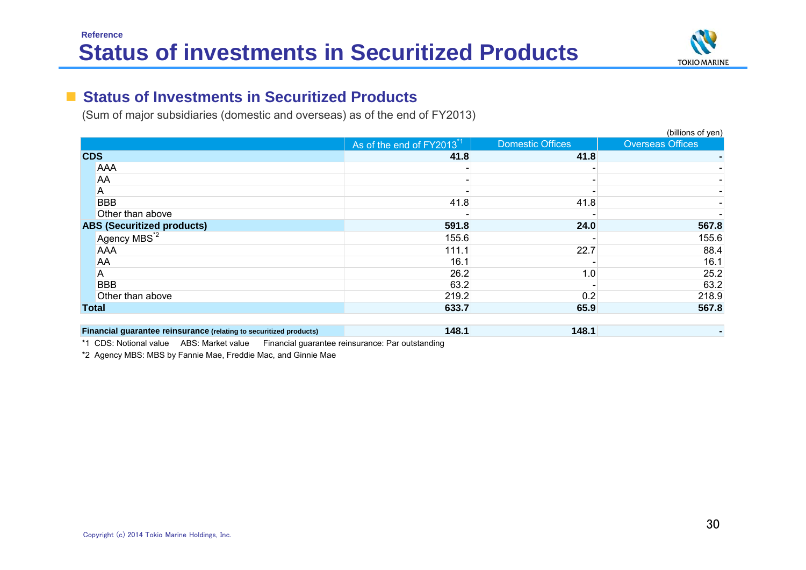

### **The Second Status of Investments in Securitized Products**

(Sum of major subsidiaries (domestic and overseas) as of the end of FY2013)

|                                                                    |                                      |                         | (billions of yen)       |
|--------------------------------------------------------------------|--------------------------------------|-------------------------|-------------------------|
|                                                                    | As of the end of FY2013 <sup>1</sup> | <b>Domestic Offices</b> | <b>Overseas Offices</b> |
| <b>CDS</b>                                                         | 41.8                                 | 41.8                    |                         |
| <b>AAA</b>                                                         |                                      |                         |                         |
| AA                                                                 |                                      |                         |                         |
| A                                                                  |                                      |                         |                         |
| <b>BBB</b>                                                         | 41.8                                 | 41.8                    |                         |
| Other than above                                                   |                                      |                         |                         |
| <b>ABS (Securitized products)</b>                                  | 591.8                                | 24.0                    | 567.8                   |
| Agency MBS <sup>*2</sup>                                           | 155.6                                |                         | 155.6                   |
| <b>AAA</b>                                                         | 111.1                                | 22.7                    | 88.4                    |
| AA                                                                 | 16.1                                 |                         | 16.1                    |
| A                                                                  | 26.2                                 | 1.0                     | 25.2                    |
| <b>BBB</b>                                                         | 63.2                                 |                         | 63.2                    |
| Other than above                                                   | 219.2                                | 0.2                     | 218.9                   |
| <b>Total</b>                                                       | 633.7                                | 65.9                    | 567.8                   |
|                                                                    |                                      |                         |                         |
| Financial guarantee reinsurance (relating to securitized products) | 148.1                                | 148.1                   |                         |

\*1 CDS: Notional value ABS: Market value Financial guarantee reinsurance: Par outstanding

\*2 Agency MBS: MBS by Fannie Mae, Freddie Mac, and Ginnie Mae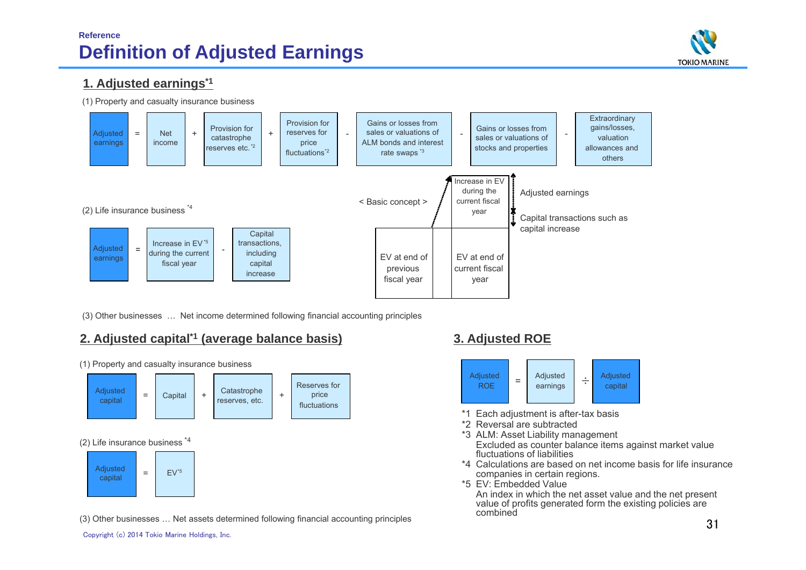## **Reference Definition of Adjusted Earnings**



### **1. Adjusted earnings\*1**

(1) Property and casualty insurance business



(3) Other businesses … Net income determined following financial accounting principles

## **2. Adjusted capital\*1 (average balance basis) 3. Adjusted ROE**

+**Catastrophe** reserves, etc. (2) Life insurance business \*4 (1) Property and casualty insurance business Reserves for price fluctuations Adjusted capital = $\begin{array}{|c|c|c|c|c|c|}\n\hline\n\text{Capital} & + & \text{Calasupine} & + \\
\hline\n\end{array}$ Adjusted capital = $EV^*5$ 

(3) Other businesses … Net assets determined following financial accounting principles



- \*1 Each adjustment is after-tax basis
- \*2 Reversal are subtracted
- \*3 ALM: Asset Liability management Excluded as counter balance items against market value fluctuations of liabilities
- \*4 Calculations are based on net income basis for life insurance companies in certain regions.
- \*5 EV: Embedded Value

An index in which the net asset value and the net present value of profits generated form the existing policies are combined